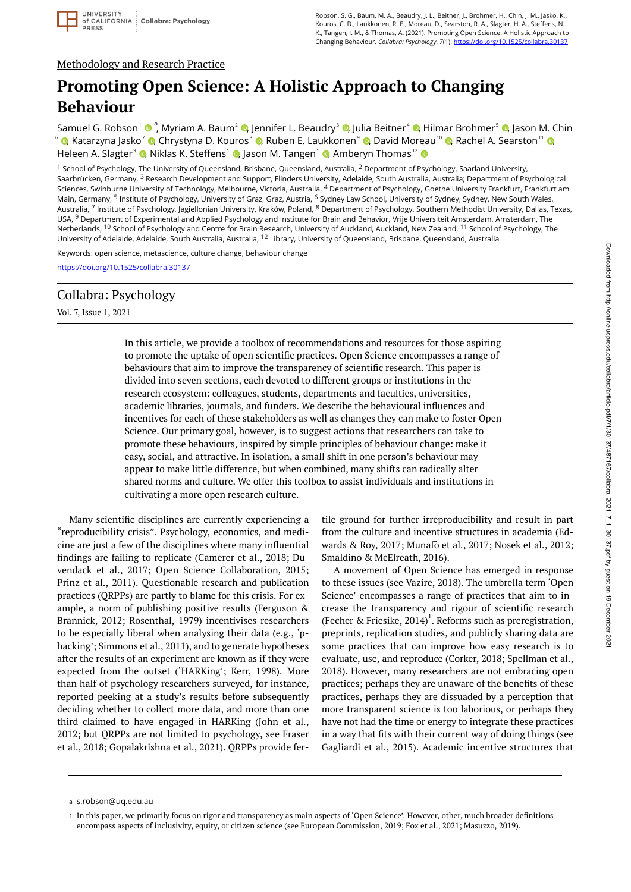## Methodology and Research Practice

# **Promoting Open Science: A Holistic Approach to Changing Behaviour**

Samuel G. Robson<sup>1</sup> © <sup>a</sup>[,](https://orcid.org/0000-0001-7763-4229) Myriam A. Baum<sup>2</sup> ©, Jennifer L. Beaudry<sup>3</sup> ©, Julia Beitner<sup>4</sup> ©, Hilmar Brohmer<sup>s</sup> ©, Jason M. Chin  $^{\circ}$  ©[,](https://orcid.org/0000-0001-7295-8021) Katarzyna Jasko $^{\circ}$  ©, Chrystyna D. Kouros $^{\circ}$  ©, Ruben E. Laukkonen $^{\circ}$  ©, David Moreau $^{\circ}$  ©, Rachel A. Searston $^{\circ}$  © Heleen A. Slagter $^{\circ}$   $\bullet$ [,](https://orcid.org/0000-0002-0649-2566) Niklas K. Steffens $^{\circ}$   $\bullet$ , Jason M. Tangen $^{\circ}$   $\bullet$ , Amberyn Thomas $^{\circ}$ 

<sup>1</sup> School of Psychology, The University of Queensland, Brisbane, Queensland, Australia, <sup>2</sup> Department of Psychology, Saarland University, Saarbrücken, Germany, <sup>3</sup> Research Development and Support, Flinders University, Adelaide, South Australia, Australia; Department of Psychological Sciences, Swinburne University of Technology, Melbourne, Victoria, Australia, <sup>4</sup> Department of Psychology, Goethe University Frankfurt, Frankfurt am Main, Germany, <sup>5</sup> Institute of Psychology, University of Graz, Graz, Austria, <sup>6</sup> Sydney Law School, University of Sydney, Sydney, New South Wales, Australia, <sup>7</sup> Institute of Psychology, Jagiellonian University, Kraków, Poland, <sup>8</sup> Department of Psychology, Southern Methodist University, Dallas, Texas, USA, <sup>9</sup> Department of Experimental and Applied Psychology and Institute for Brain and Behavior, Vrije Universiteit Amsterdam, Amsterdam, The Netherlands, <sup>10</sup> School of Psychology and Centre for Brain Research, University of Auckland, Auckland, New Zealand, <sup>11</sup> School of Psychology, The University of Adelaide, Adelaide, South Australia, Australia, <sup>12</sup> Library, University of Queensland, Brisbane, Queensland, Australia

Keywords: open science, metascience, culture change, behaviour change <https://doi.org/10.1525/collabra.30137>

# Collabra: Psychology

Vol. 7, Issue 1, 2021

In this article, we provide a toolbox of recommendations and resources for those aspiring to promote the uptake of open scientific practices. Open Science encompasses a range of behaviours that aim to improve the transparency of scientific research. This paper is divided into seven sections, each devoted to different groups or institutions in the research ecosystem: colleagues, students, departments and faculties, universities, academic libraries, journals, and funders. We describe the behavioural influences and incentives for each of these stakeholders as well as changes they can make to foster Open Science. Our primary goal, however, is to suggest actions that researchers can take to promote these behaviours, inspired by simple principles of behaviour change: make it easy, social, and attractive. In isolation, a small shift in one person's behaviour may appear to make little difference, but when combined, many shifts can radically alter shared norms and culture. We offer this toolbox to assist individuals and institutions in cultivating a more open research culture.

Many scientific disciplines are currently experiencing a "reproducibility crisis". Psychology, economics, and medicine are just a few of the disciplines where many influential findings are failing to replicate (Camerer et al., 2018; Duvendack et al., 2017; Open Science Collaboration, 2015; Prinz et al., 2011). Questionable research and publication practices (QRPPs) are partly to blame for this crisis. For example, a norm of publishing positive results (Ferguson & Brannick, 2012; Rosenthal, 1979) incentivises researchers to be especially liberal when analysing their data (e.g., 'phacking'; Simmons et al., 2011), and to generate hypotheses after the results of an experiment are known as if they were expected from the outset ('HARKing'; Kerr, 1998). More than half of psychology researchers surveyed, for instance, reported peeking at a study's results before subsequently deciding whether to collect more data, and more than one third claimed to have engaged in HARKing (John et al., 2012; but QRPPs are not limited to psychology, see Fraser et al., 2018; Gopalakrishna et al., 2021). QRPPs provide fertile ground for further irreproducibility and result in part from the culture and incentive structures in academia (Edwards & Roy, 2017; Munafò et al., 2017; Nosek et al., 2012; Smaldino & McElreath, 2016).

A movement of Open Science has emerged in response to these issues (see Vazire, 2018). The umbrella term 'Open Science' encompasses a range of practices that aim to increase the transparency and rigour of scientific research (Fecher & Friesike,  $2014$ )<sup>1</sup>. Reforms such as preregistration, preprints, replication studies, and publicly sharing data are some practices that can improve how easy research is to evaluate, use, and reproduce (Corker, 2018; Spellman et al., 2018). However, many researchers are not embracing open practices; perhaps they are unaware of the benefits of these practices, perhaps they are dissuaded by a perception that more transparent science is too laborious, or perhaps they have not had the time or energy to integrate these practices in a way that fits with their current way of doing things (see Gagliardi et al., 2015). Academic incentive structures that

s.robson@uq.edu.au a

In this paper, we primarily focus on rigor and transparency as main aspects of 'Open Science'. However, other, much broader definitions 1 encompass aspects of inclusivity, equity, or citizen science (see European Commission, 2019; Fox et al., 2021; Masuzzo, 2019).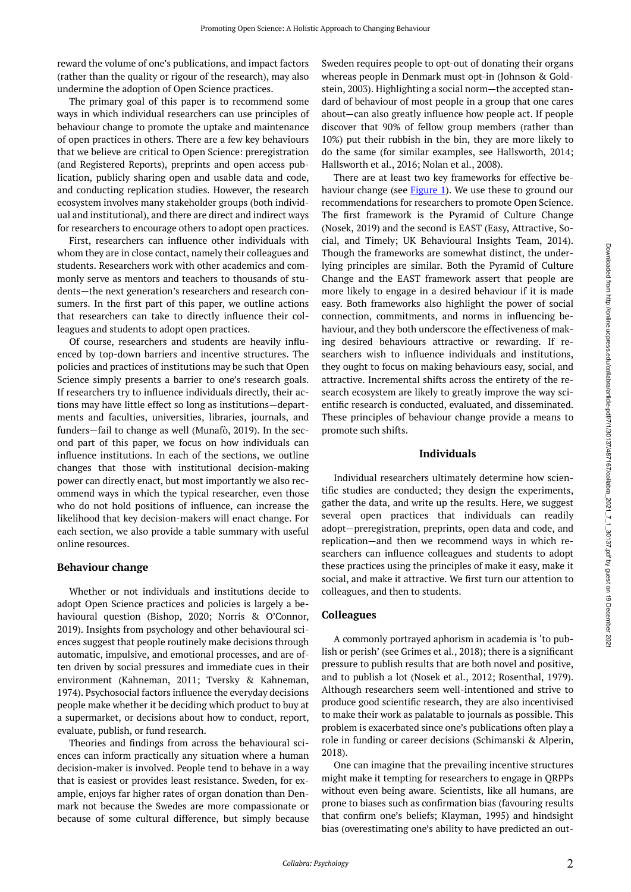reward the volume of one's publications, and impact factors (rather than the quality or rigour of the research), may also undermine the adoption of Open Science practices.

The primary goal of this paper is to recommend some ways in which individual researchers can use principles of behaviour change to promote the uptake and maintenance of open practices in others. There are a few key behaviours that we believe are critical to Open Science: preregistration (and Registered Reports), preprints and open access publication, publicly sharing open and usable data and code, and conducting replication studies. However, the research ecosystem involves many stakeholder groups (both individual and institutional), and there are direct and indirect ways for researchers to encourage others to adopt open practices.

First, researchers can influence other individuals with whom they are in close contact, namely their colleagues and students. Researchers work with other academics and commonly serve as mentors and teachers to thousands of students—the next generation's researchers and research consumers. In the first part of this paper, we outline actions that researchers can take to directly influence their colleagues and students to adopt open practices.

Of course, researchers and students are heavily influenced by top-down barriers and incentive structures. The policies and practices of institutions may be such that Open Science simply presents a barrier to one's research goals. If researchers try to influence individuals directly, their actions may have little effect so long as institutions—departments and faculties, universities, libraries, journals, and funders—fail to change as well (Munafò, 2019). In the second part of this paper, we focus on how individuals can influence institutions. In each of the sections, we outline changes that those with institutional decision-making power can directly enact, but most importantly we also recommend ways in which the typical researcher, even those who do not hold positions of influence, can increase the likelihood that key decision-makers will enact change. For each section, we also provide a table summary with useful online resources.

## **Behaviour change**

Whether or not individuals and institutions decide to adopt Open Science practices and policies is largely a behavioural question (Bishop, 2020; Norris & O'Connor, 2019). Insights from psychology and other behavioural sciences suggest that people routinely make decisions through automatic, impulsive, and emotional processes, and are often driven by social pressures and immediate cues in their environment (Kahneman, 2011; Tversky & Kahneman, 1974). Psychosocial factors influence the everyday decisions people make whether it be deciding which product to buy at a supermarket, or decisions about how to conduct, report, evaluate, publish, or fund research.

Theories and findings from across the behavioural sciences can inform practically any situation where a human decision-maker is involved. People tend to behave in a way that is easiest or provides least resistance. Sweden, for example, enjoys far higher rates of organ donation than Denmark not because the Swedes are more compassionate or because of some cultural difference, but simply because

Sweden requires people to opt-out of donating their organs whereas people in Denmark must opt-in (Johnson & Goldstein, 2003). Highlighting a social norm—the accepted standard of behaviour of most people in a group that one cares about—can also greatly influence how people act. If people discover that 90% of fellow group members (rather than 10%) put their rubbish in the bin, they are more likely to do the same (for similar examples, see Hallsworth, 2014; Hallsworth et al., 2016; Nolan et al., 2008).

There are at least two key frameworks for effective be-haviour change (see [Figure 1\)](#page-2-0). We use these to ground our recommendations for researchers to promote Open Science. The first framework is the Pyramid of Culture Change (Nosek, 2019) and the second is EAST (Easy, Attractive, Social, and Timely; UK Behavioural Insights Team, 2014). Though the frameworks are somewhat distinct, the underlying principles are similar. Both the Pyramid of Culture Change and the EAST framework assert that people are more likely to engage in a desired behaviour if it is made easy. Both frameworks also highlight the power of social connection, commitments, and norms in influencing behaviour, and they both underscore the effectiveness of making desired behaviours attractive or rewarding. If researchers wish to influence individuals and institutions, they ought to focus on making behaviours easy, social, and attractive. Incremental shifts across the entirety of the research ecosystem are likely to greatly improve the way scientific research is conducted, evaluated, and disseminated. These principles of behaviour change provide a means to promote such shifts.

#### **Individuals**

Individual researchers ultimately determine how scientific studies are conducted; they design the experiments, gather the data, and write up the results. Here, we suggest several open practices that individuals can readily adopt—preregistration, preprints, open data and code, and replication—and then we recommend ways in which researchers can influence colleagues and students to adopt these practices using the principles of make it easy, make it social, and make it attractive. We first turn our attention to colleagues, and then to students.

## **Colleagues**

A commonly portrayed aphorism in academia is 'to publish or perish' (see Grimes et al., 2018); there is a significant pressure to publish results that are both novel and positive, and to publish a lot (Nosek et al., 2012; Rosenthal, 1979). Although researchers seem well-intentioned and strive to produce good scientific research, they are also incentivised to make their work as palatable to journals as possible. This problem is exacerbated since one's publications often play a role in funding or career decisions (Schimanski & Alperin, 2018).

One can imagine that the prevailing incentive structures might make it tempting for researchers to engage in QRPPs without even being aware. Scientists, like all humans, are prone to biases such as confirmation bias (favouring results that confirm one's beliefs; Klayman, 1995) and hindsight bias (overestimating one's ability to have predicted an out-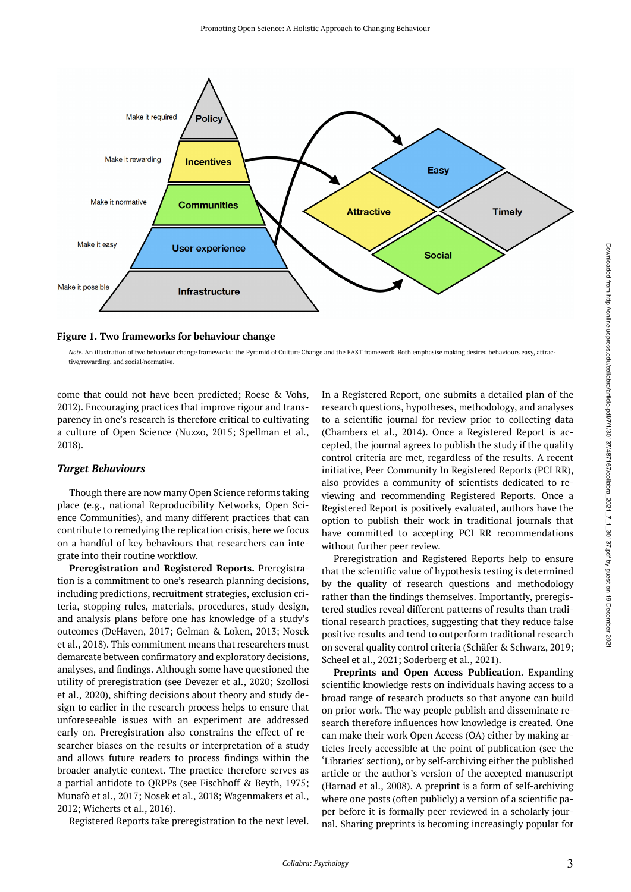<span id="page-2-0"></span>

**Figure 1. Two frameworks for behaviour change** 

*Note.* An illustration of two behaviour change frameworks: the Pyramid of Culture Change and the EAST framework. Both emphasise making desired behaviours easy, attractive/rewarding, and social/normative.

come that could not have been predicted; Roese & Vohs, 2012). Encouraging practices that improve rigour and transparency in one's research is therefore critical to cultivating a culture of Open Science (Nuzzo, 2015; Spellman et al., 2018).

#### *Target Behaviours*

Though there are now many Open Science reforms taking place (e.g., national Reproducibility Networks, Open Science Communities), and many different practices that can contribute to remedying the replication crisis, here we focus on a handful of key behaviours that researchers can integrate into their routine workflow.

**Preregistration and Registered Reports.** Preregistration is a commitment to one's research planning decisions, including predictions, recruitment strategies, exclusion criteria, stopping rules, materials, procedures, study design, and analysis plans before one has knowledge of a study's outcomes (DeHaven, 2017; Gelman & Loken, 2013; Nosek et al., 2018). This commitment means that researchers must demarcate between confirmatory and exploratory decisions, analyses, and findings. Although some have questioned the utility of preregistration (see Devezer et al., 2020; Szollosi et al., 2020), shifting decisions about theory and study design to earlier in the research process helps to ensure that unforeseeable issues with an experiment are addressed early on. Preregistration also constrains the effect of researcher biases on the results or interpretation of a study and allows future readers to process findings within the broader analytic context. The practice therefore serves as a partial antidote to QRPPs (see Fischhoff & Beyth, 1975; Munafò et al., 2017; Nosek et al., 2018; Wagenmakers et al., 2012; Wicherts et al., 2016).

Registered Reports take preregistration to the next level.

In a Registered Report, one submits a detailed plan of the research questions, hypotheses, methodology, and analyses to a scientific journal for review prior to collecting data (Chambers et al., 2014). Once a Registered Report is accepted, the journal agrees to publish the study if the quality control criteria are met, regardless of the results. A recent initiative, Peer Community In Registered Reports (PCI RR), also provides a community of scientists dedicated to reviewing and recommending Registered Reports. Once a Registered Report is positively evaluated, authors have the option to publish their work in traditional journals that have committed to accepting PCI RR recommendations without further peer review.

Preregistration and Registered Reports help to ensure that the scientific value of hypothesis testing is determined by the quality of research questions and methodology rather than the findings themselves. Importantly, preregistered studies reveal different patterns of results than traditional research practices, suggesting that they reduce false positive results and tend to outperform traditional research on several quality control criteria (Schäfer & Schwarz, 2019; Scheel et al., 2021; Soderberg et al., 2021).

**Preprints and Open Access Publication**. Expanding scientific knowledge rests on individuals having access to a broad range of research products so that anyone can build on prior work. The way people publish and disseminate research therefore influences how knowledge is created. One can make their work Open Access (OA) either by making articles freely accessible at the point of publication (see the 'Libraries' section), or by self-archiving either the published article or the author's version of the accepted manuscript (Harnad et al., 2008). A preprint is a form of self-archiving where one posts (often publicly) a version of a scientific paper before it is formally peer-reviewed in a scholarly journal. Sharing preprints is becoming increasingly popular for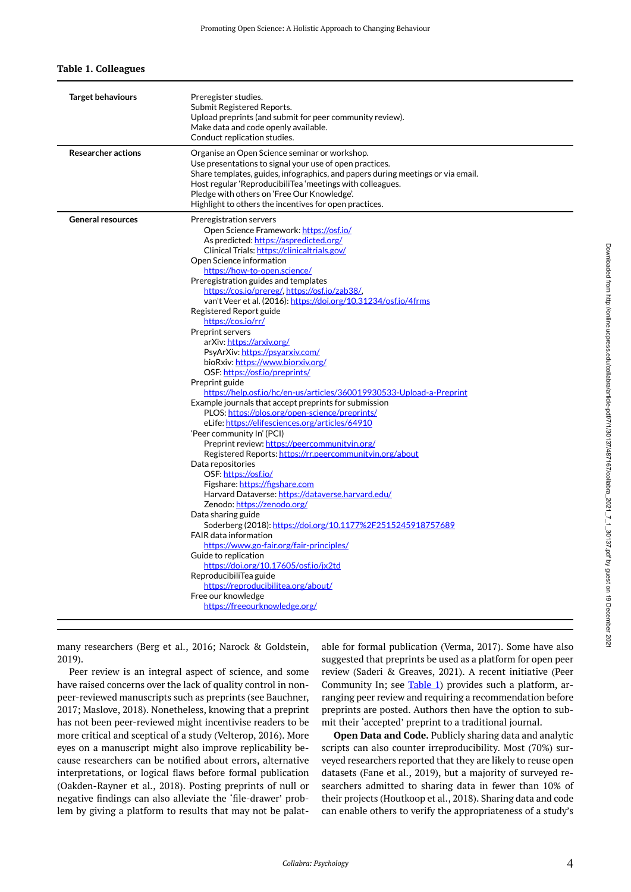#### <span id="page-3-0"></span>**Table 1. Colleagues**

| <b>Target behaviours</b>  | Preregister studies.<br>Submit Registered Reports.<br>Upload preprints (and submit for peer community review).<br>Make data and code openly available.<br>Conduct replication studies.                                                                                                                                                                                                                                                                                                                                                                                                                                                                                                                                                                                                                                                                                                                                                                                                                                                                                                                                                                                                                                                                                                                                                                                                                                                                                                                                    |
|---------------------------|---------------------------------------------------------------------------------------------------------------------------------------------------------------------------------------------------------------------------------------------------------------------------------------------------------------------------------------------------------------------------------------------------------------------------------------------------------------------------------------------------------------------------------------------------------------------------------------------------------------------------------------------------------------------------------------------------------------------------------------------------------------------------------------------------------------------------------------------------------------------------------------------------------------------------------------------------------------------------------------------------------------------------------------------------------------------------------------------------------------------------------------------------------------------------------------------------------------------------------------------------------------------------------------------------------------------------------------------------------------------------------------------------------------------------------------------------------------------------------------------------------------------------|
| <b>Researcher actions</b> | Organise an Open Science seminar or workshop.<br>Use presentations to signal your use of open practices.<br>Share templates, guides, infographics, and papers during meetings or via email.<br>Host regular 'ReproducibiliTea 'meetings with colleagues.<br>Pledge with others on 'Free Our Knowledge'.<br>Highlight to others the incentives for open practices.                                                                                                                                                                                                                                                                                                                                                                                                                                                                                                                                                                                                                                                                                                                                                                                                                                                                                                                                                                                                                                                                                                                                                         |
| <b>General resources</b>  | Preregistration servers<br>Open Science Framework: https://osf.io/<br>As predicted: https://aspredicted.org/<br>Clinical Trials: https://clinicaltrials.gov/<br>Open Science information<br>https://how-to-open.science/<br>Preregistration guides and templates<br>https://cos.jo/prereg/.https://osf.jo/zab38/.<br>van't Veer et al. (2016): https://doi.org/10.31234/osf.io/4frms<br>Registered Report guide<br>https://cos.io/rr/<br>Preprint servers<br>arXiv: https://arxiv.org/<br>PsyArXiv: https://psyarxiv.com/<br>bioRxiv: https://www.biorxiv.org/<br>OSF: https://osf.jo/preprints/<br>Preprint guide<br>https://help.osf.jo/hc/en-us/articles/360019930533-Upload-a-Preprint<br>Example journals that accept preprints for submission<br>PLOS: https://plos.org/open-science/preprints/<br>eLife: https://elifesciences.org/articles/64910<br>'Peer community In' (PCI)<br>Preprint review: https://peercommunityin.org/<br>Registered Reports: https://rr.peercommunityin.org/about<br>Data repositories<br>OSF: https://osf.io/<br>Figshare: https://figshare.com<br>Harvard Dataverse: https://dataverse.harvard.edu/<br>Zenodo: https://zenodo.org/<br>Data sharing guide<br>Soderberg (2018): https://doi.org/10.1177%2F2515245918757689<br>FAIR data information<br>https://www.go-fair.org/fair-principles/<br>Guide to replication<br>https://doi.org/10.17605/osf.io/jx2td<br>ReproducibiliTea guide<br>https://reproducibilitea.org/about/<br>Free our knowledge<br>https://freeourknowledge.org/ |

many researchers (Berg et al., 2016; Narock & Goldstein, 2019).

Peer review is an integral aspect of science, and some have raised concerns over the lack of quality control in nonpeer-reviewed manuscripts such as preprints (see Bauchner, 2017; Maslove, 2018). Nonetheless, knowing that a preprint has not been peer-reviewed might incentivise readers to be more critical and sceptical of a study (Velterop, 2016). More eyes on a manuscript might also improve replicability because researchers can be notified about errors, alternative interpretations, or logical flaws before formal publication (Oakden-Rayner et al., 2018). Posting preprints of null or negative findings can also alleviate the 'file-drawer' problem by giving a platform to results that may not be palatable for formal publication (Verma, 2017). Some have also suggested that preprints be used as a platform for open peer review (Saderi & Greaves, 2021). A recent initiative (Peer Community In; see [Table 1](#page-3-0)) provides such a platform, arranging peer review and requiring a recommendation before preprints are posted. Authors then have the option to submit their 'accepted' preprint to a traditional journal.

**Open Data and Code.** Publicly sharing data and analytic scripts can also counter irreproducibility. Most (70%) surveyed researchers reported that they are likely to reuse open datasets (Fane et al., 2019), but a majority of surveyed researchers admitted to sharing data in fewer than 10% of their projects (Houtkoop et al., 2018). Sharing data and code can enable others to verify the appropriateness of a study's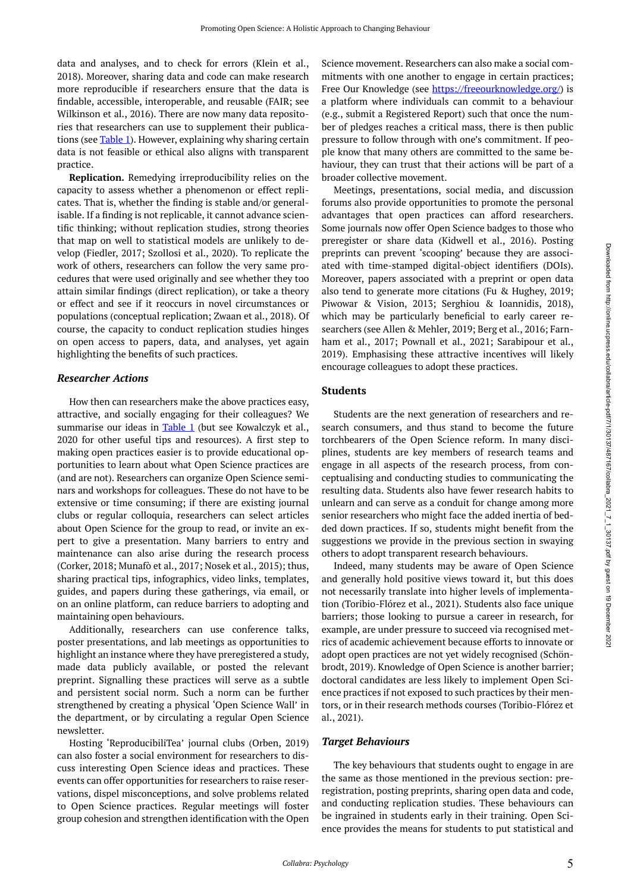data and analyses, and to check for errors (Klein et al., 2018). Moreover, sharing data and code can make research more reproducible if researchers ensure that the data is findable, accessible, interoperable, and reusable (FAIR; see Wilkinson et al., 2016). There are now many data repositories that researchers can use to supplement their publications (see [Table 1\)](#page-3-0). However, explaining why sharing certain data is not feasible or ethical also aligns with transparent practice.

**Replication.** Remedying irreproducibility relies on the capacity to assess whether a phenomenon or effect replicates. That is, whether the finding is stable and/or generalisable. If a finding is not replicable, it cannot advance scientific thinking; without replication studies, strong theories that map on well to statistical models are unlikely to develop (Fiedler, 2017; Szollosi et al., 2020). To replicate the work of others, researchers can follow the very same procedures that were used originally and see whether they too attain similar findings (direct replication), or take a theory or effect and see if it reoccurs in novel circumstances or populations (conceptual replication; Zwaan et al., 2018). Of course, the capacity to conduct replication studies hinges on open access to papers, data, and analyses, yet again highlighting the benefits of such practices.

## *Researcher Actions*

How then can researchers make the above practices easy, attractive, and socially engaging for their colleagues? We summarise our ideas in [Table 1](#page-3-0) (but see Kowalczyk et al., 2020 for other useful tips and resources). A first step to making open practices easier is to provide educational opportunities to learn about what Open Science practices are (and are not). Researchers can organize Open Science seminars and workshops for colleagues. These do not have to be extensive or time consuming; if there are existing journal clubs or regular colloquia, researchers can select articles about Open Science for the group to read, or invite an expert to give a presentation. Many barriers to entry and maintenance can also arise during the research process (Corker, 2018; Munafò et al., 2017; Nosek et al., 2015); thus, sharing practical tips, infographics, video links, templates, guides, and papers during these gatherings, via email, or on an online platform, can reduce barriers to adopting and maintaining open behaviours.

Additionally, researchers can use conference talks, poster presentations, and lab meetings as opportunities to highlight an instance where they have preregistered a study, made data publicly available, or posted the relevant preprint. Signalling these practices will serve as a subtle and persistent social norm. Such a norm can be further strengthened by creating a physical 'Open Science Wall' in the department, or by circulating a regular Open Science newsletter.

Hosting 'ReproducibiliTea' journal clubs (Orben, 2019) can also foster a social environment for researchers to discuss interesting Open Science ideas and practices. These events can offer opportunities for researchers to raise reservations, dispel misconceptions, and solve problems related to Open Science practices. Regular meetings will foster group cohesion and strengthen identification with the Open

Science movement. Researchers can also make a social commitments with one another to engage in certain practices; Free Our Knowledge (see [https://freeourknowledge.org/\)](https://freeourknowledge.org/) is a platform where individuals can commit to a behaviour (e.g., submit a Registered Report) such that once the number of pledges reaches a critical mass, there is then public pressure to follow through with one's commitment. If people know that many others are committed to the same behaviour, they can trust that their actions will be part of a broader collective movement.

Meetings, presentations, social media, and discussion forums also provide opportunities to promote the personal advantages that open practices can afford researchers. Some journals now offer Open Science badges to those who preregister or share data (Kidwell et al., 2016). Posting preprints can prevent 'scooping' because they are associated with time-stamped digital-object identifiers (DOIs). Moreover, papers associated with a preprint or open data also tend to generate more citations (Fu & Hughey, 2019; Piwowar & Vision, 2013; Serghiou & Ioannidis, 2018), which may be particularly beneficial to early career researchers (see Allen & Mehler, 2019; Berg et al., 2016; Farnham et al., 2017; Pownall et al., 2021; Sarabipour et al., 2019). Emphasising these attractive incentives will likely encourage colleagues to adopt these practices.

## **Students**

Students are the next generation of researchers and research consumers, and thus stand to become the future torchbearers of the Open Science reform. In many disciplines, students are key members of research teams and engage in all aspects of the research process, from conceptualising and conducting studies to communicating the resulting data. Students also have fewer research habits to unlearn and can serve as a conduit for change among more senior researchers who might face the added inertia of bedded down practices. If so, students might benefit from the suggestions we provide in the previous section in swaying others to adopt transparent research behaviours.

Indeed, many students may be aware of Open Science and generally hold positive views toward it, but this does not necessarily translate into higher levels of implementation (Toribio-Flórez et al., 2021). Students also face unique barriers; those looking to pursue a career in research, for example, are under pressure to succeed via recognised metrics of academic achievement because efforts to innovate or adopt open practices are not yet widely recognised (Schönbrodt, 2019). Knowledge of Open Science is another barrier; doctoral candidates are less likely to implement Open Science practices if not exposed to such practices by their mentors, or in their research methods courses (Toribio-Flórez et al., 2021).

#### *Target Behaviours*

The key behaviours that students ought to engage in are the same as those mentioned in the previous section: preregistration, posting preprints, sharing open data and code, and conducting replication studies. These behaviours can be ingrained in students early in their training. Open Science provides the means for students to put statistical and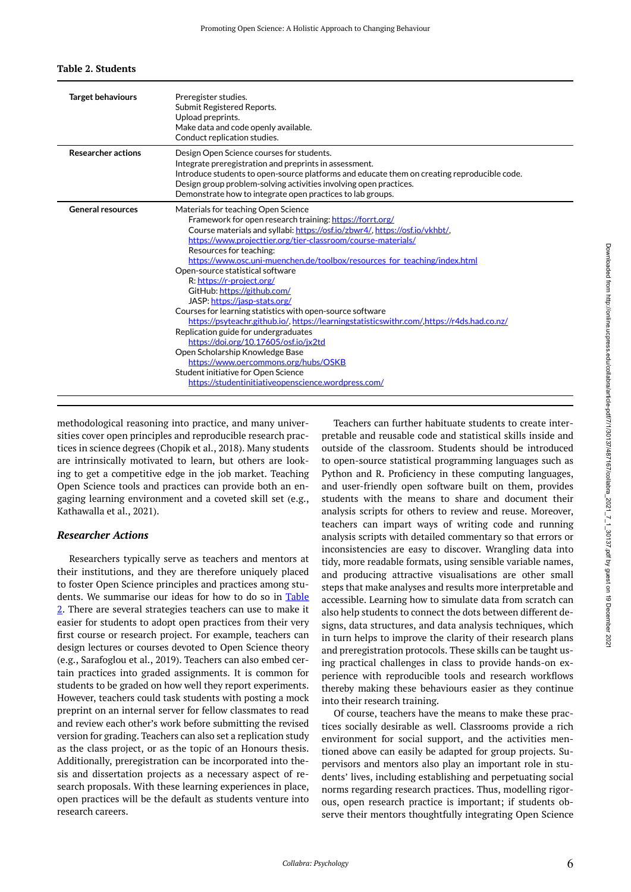## <span id="page-5-0"></span>**Table 2. Students**

| <b>Target behaviours</b>  | Preregister studies.<br>Submit Registered Reports.<br>Upload preprints.<br>Make data and code openly available.<br>Conduct replication studies.                                                                                                                                                                                                                                                                                                                                                                                                                                                                                                                                                                                                                                                                                                                                                             |
|---------------------------|-------------------------------------------------------------------------------------------------------------------------------------------------------------------------------------------------------------------------------------------------------------------------------------------------------------------------------------------------------------------------------------------------------------------------------------------------------------------------------------------------------------------------------------------------------------------------------------------------------------------------------------------------------------------------------------------------------------------------------------------------------------------------------------------------------------------------------------------------------------------------------------------------------------|
| <b>Researcher actions</b> | Design Open Science courses for students.<br>Integrate preregistration and preprints in assessment.<br>Introduce students to open-source platforms and educate them on creating reproducible code.<br>Design group problem-solving activities involving open practices.<br>Demonstrate how to integrate open practices to lab groups.                                                                                                                                                                                                                                                                                                                                                                                                                                                                                                                                                                       |
| <b>General resources</b>  | Materials for teaching Open Science<br>Framework for open research training: https://forrt.org/<br>Course materials and syllabi: https://osf.io/zbwr4/, https://osf.io/vkhbt/,<br>https://www.projecttier.org/tier-classroom/course-materials/<br>Resources for teaching:<br>https://www.osc.uni-muenchen.de/toolbox/resources for teaching/index.html<br>Open-source statistical software<br>R: https://r-project.org/<br>GitHub: https://github.com/<br>JASP: https://jasp-stats.org/<br>Courses for learning statistics with open-source software<br>https://psyteachr.github.io/.https://learningstatisticswithr.com/.https://r4ds.had.co.nz/<br>Replication guide for undergraduates<br>https://doi.org/10.17605/osf.jo/jx2td<br>Open Scholarship Knowledge Base<br>https://www.oercommons.org/hubs/OSKB<br>Student initiative for Open Science<br>https://studentinitiativeopenscience.wordpress.com/ |

methodological reasoning into practice, and many universities cover open principles and reproducible research practices in science degrees (Chopik et al., 2018). Many students are intrinsically motivated to learn, but others are looking to get a competitive edge in the job market. Teaching Open Science tools and practices can provide both an engaging learning environment and a coveted skill set (e.g., Kathawalla et al., 2021).

## *Researcher Actions*

Researchers typically serve as teachers and mentors at their institutions, and they are therefore uniquely placed to foster Open Science principles and practices among students. We summarise our ideas for how to do so in [Table](#page-5-0)  [2.](#page-5-0) There are several strategies teachers can use to make it easier for students to adopt open practices from their very first course or research project. For example, teachers can design lectures or courses devoted to Open Science theory (e.g., Sarafoglou et al., 2019). Teachers can also embed certain practices into graded assignments. It is common for students to be graded on how well they report experiments. However, teachers could task students with posting a mock preprint on an internal server for fellow classmates to read and review each other's work before submitting the revised version for grading. Teachers can also set a replication study as the class project, or as the topic of an Honours thesis. Additionally, preregistration can be incorporated into thesis and dissertation projects as a necessary aspect of research proposals. With these learning experiences in place, open practices will be the default as students venture into research careers.

Teachers can further habituate students to create interpretable and reusable code and statistical skills inside and outside of the classroom. Students should be introduced to open-source statistical programming languages such as Python and R. Proficiency in these computing languages, and user-friendly open software built on them, provides students with the means to share and document their analysis scripts for others to review and reuse. Moreover, teachers can impart ways of writing code and running analysis scripts with detailed commentary so that errors or inconsistencies are easy to discover. Wrangling data into tidy, more readable formats, using sensible variable names, and producing attractive visualisations are other small steps that make analyses and results more interpretable and accessible. Learning how to simulate data from scratch can also help students to connect the dots between different designs, data structures, and data analysis techniques, which in turn helps to improve the clarity of their research plans and preregistration protocols. These skills can be taught using practical challenges in class to provide hands-on experience with reproducible tools and research workflows thereby making these behaviours easier as they continue into their research training.

Of course, teachers have the means to make these practices socially desirable as well. Classrooms provide a rich environment for social support, and the activities mentioned above can easily be adapted for group projects. Supervisors and mentors also play an important role in students' lives, including establishing and perpetuating social norms regarding research practices. Thus, modelling rigorous, open research practice is important; if students observe their mentors thoughtfully integrating Open Science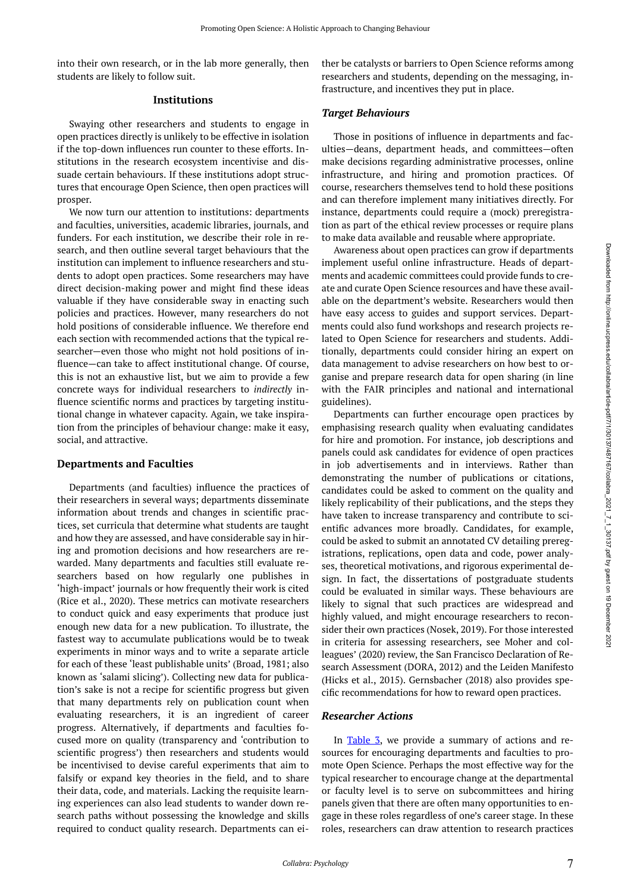## **Institutions**

students are likely to follow suit.

Swaying other researchers and students to engage in open practices directly is unlikely to be effective in isolation if the top-down influences run counter to these efforts. Institutions in the research ecosystem incentivise and dissuade certain behaviours. If these institutions adopt structures that encourage Open Science, then open practices will prosper.

We now turn our attention to institutions: departments and faculties, universities, academic libraries, journals, and funders. For each institution, we describe their role in research, and then outline several target behaviours that the institution can implement to influence researchers and students to adopt open practices. Some researchers may have direct decision-making power and might find these ideas valuable if they have considerable sway in enacting such policies and practices. However, many researchers do not hold positions of considerable influence. We therefore end each section with recommended actions that the typical researcher—even those who might not hold positions of influence—can take to affect institutional change. Of course, this is not an exhaustive list, but we aim to provide a few concrete ways for individual researchers to *indirectly* influence scientific norms and practices by targeting institutional change in whatever capacity. Again, we take inspiration from the principles of behaviour change: make it easy, social, and attractive.

## **Departments and Faculties**

Departments (and faculties) influence the practices of their researchers in several ways; departments disseminate information about trends and changes in scientific practices, set curricula that determine what students are taught and how they are assessed, and have considerable say in hiring and promotion decisions and how researchers are rewarded. Many departments and faculties still evaluate researchers based on how regularly one publishes in 'high-impact' journals or how frequently their work is cited (Rice et al., 2020). These metrics can motivate researchers to conduct quick and easy experiments that produce just enough new data for a new publication. To illustrate, the fastest way to accumulate publications would be to tweak experiments in minor ways and to write a separate article for each of these 'least publishable units' (Broad, 1981; also known as 'salami slicing'). Collecting new data for publication's sake is not a recipe for scientific progress but given that many departments rely on publication count when evaluating researchers, it is an ingredient of career progress. Alternatively, if departments and faculties focused more on quality (transparency and 'contribution to scientific progress') then researchers and students would be incentivised to devise careful experiments that aim to falsify or expand key theories in the field, and to share their data, code, and materials. Lacking the requisite learning experiences can also lead students to wander down research paths without possessing the knowledge and skills required to conduct quality research. Departments can either be catalysts or barriers to Open Science reforms among researchers and students, depending on the messaging, infrastructure, and incentives they put in place.

## *Target Behaviours*

Those in positions of influence in departments and faculties—deans, department heads, and committees—often make decisions regarding administrative processes, online infrastructure, and hiring and promotion practices. Of course, researchers themselves tend to hold these positions and can therefore implement many initiatives directly. For instance, departments could require a (mock) preregistration as part of the ethical review processes or require plans to make data available and reusable where appropriate.

Awareness about open practices can grow if departments implement useful online infrastructure. Heads of departments and academic committees could provide funds to create and curate Open Science resources and have these available on the department's website. Researchers would then have easy access to guides and support services. Departments could also fund workshops and research projects related to Open Science for researchers and students. Additionally, departments could consider hiring an expert on data management to advise researchers on how best to organise and prepare research data for open sharing (in line with the FAIR principles and national and international guidelines).

Departments can further encourage open practices by emphasising research quality when evaluating candidates for hire and promotion. For instance, job descriptions and panels could ask candidates for evidence of open practices in job advertisements and in interviews. Rather than demonstrating the number of publications or citations, candidates could be asked to comment on the quality and likely replicability of their publications, and the steps they have taken to increase transparency and contribute to scientific advances more broadly. Candidates, for example, could be asked to submit an annotated CV detailing preregistrations, replications, open data and code, power analyses, theoretical motivations, and rigorous experimental design. In fact, the dissertations of postgraduate students could be evaluated in similar ways. These behaviours are likely to signal that such practices are widespread and highly valued, and might encourage researchers to reconsider their own practices (Nosek, 2019). For those interested in criteria for assessing researchers, see Moher and colleagues' (2020) review, the San Francisco Declaration of Research Assessment (DORA, 2012) and the Leiden Manifesto (Hicks et al., 2015). Gernsbacher (2018) also provides specific recommendations for how to reward open practices.

## *Researcher Actions*

In [Table 3,](#page-7-0) we provide a summary of actions and resources for encouraging departments and faculties to promote Open Science. Perhaps the most effective way for the typical researcher to encourage change at the departmental or faculty level is to serve on subcommittees and hiring panels given that there are often many opportunities to engage in these roles regardless of one's career stage. In these roles, researchers can draw attention to research practices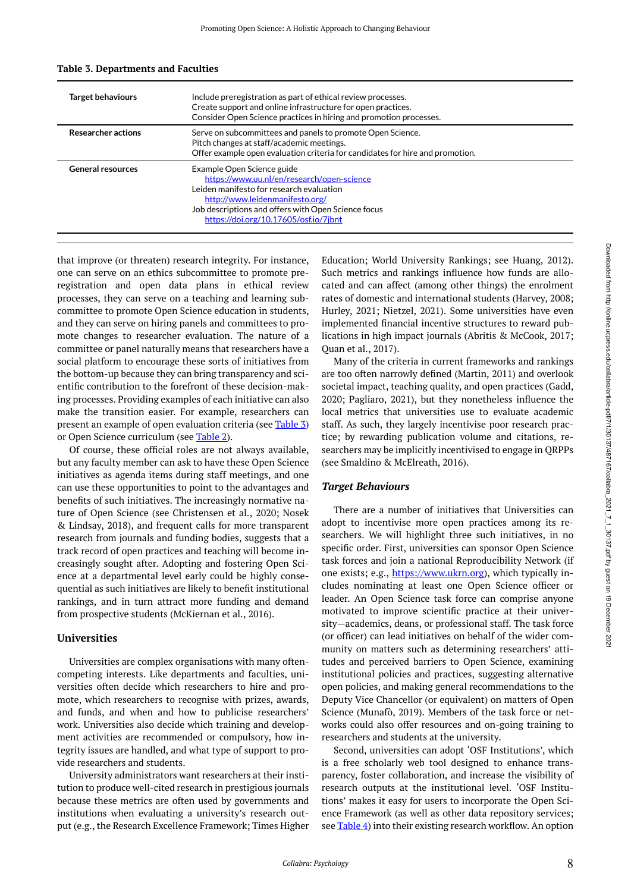| <b>Target behaviours</b>  | Include preregistration as part of ethical review processes.<br>Create support and online infrastructure for open practices.<br>Consider Open Science practices in hiring and promotion processes.                                                      |
|---------------------------|---------------------------------------------------------------------------------------------------------------------------------------------------------------------------------------------------------------------------------------------------------|
| <b>Researcher actions</b> | Serve on subcommittees and panels to promote Open Science.<br>Pitch changes at staff/academic meetings.<br>Offer example open evaluation criteria for candidates for hire and promotion.                                                                |
| <b>General resources</b>  | Example Open Science guide<br>https://www.uu.nl/en/research/open-science<br>Leiden manifesto for research evaluation<br>http://www.leidenmanifesto.org/<br>Job descriptions and offers with Open Science focus<br>https://doi.org/10.17605/osf.io/7jbnt |

#### <span id="page-7-0"></span>**Table 3. Departments and Faculties**

that improve (or threaten) research integrity. For instance, one can serve on an ethics subcommittee to promote preregistration and open data plans in ethical review processes, they can serve on a teaching and learning subcommittee to promote Open Science education in students, and they can serve on hiring panels and committees to promote changes to researcher evaluation. The nature of a committee or panel naturally means that researchers have a social platform to encourage these sorts of initiatives from the bottom-up because they can bring transparency and scientific contribution to the forefront of these decision-making processes. Providing examples of each initiative can also make the transition easier. For example, researchers can present an example of open evaluation criteria (see [Table 3\)](#page-7-0) or Open Science curriculum (see [Table 2](#page-5-0)).

Of course, these official roles are not always available, but any faculty member can ask to have these Open Science initiatives as agenda items during staff meetings, and one can use these opportunities to point to the advantages and benefits of such initiatives. The increasingly normative nature of Open Science (see Christensen et al., 2020; Nosek & Lindsay, 2018), and frequent calls for more transparent research from journals and funding bodies, suggests that a track record of open practices and teaching will become increasingly sought after. Adopting and fostering Open Science at a departmental level early could be highly consequential as such initiatives are likely to benefit institutional rankings, and in turn attract more funding and demand from prospective students (McKiernan et al., 2016).

## **Universities**

Universities are complex organisations with many oftencompeting interests. Like departments and faculties, universities often decide which researchers to hire and promote, which researchers to recognise with prizes, awards, and funds, and when and how to publicise researchers' work. Universities also decide which training and development activities are recommended or compulsory, how integrity issues are handled, and what type of support to provide researchers and students.

University administrators want researchers at their institution to produce well-cited research in prestigious journals because these metrics are often used by governments and institutions when evaluating a university's research output (e.g., the Research Excellence Framework; Times Higher Education; World University Rankings; see Huang, 2012). Such metrics and rankings influence how funds are allocated and can affect (among other things) the enrolment rates of domestic and international students (Harvey, 2008; Hurley, 2021; Nietzel, 2021). Some universities have even implemented financial incentive structures to reward publications in high impact journals (Abritis & McCook, 2017; Quan et al., 2017).

Many of the criteria in current frameworks and rankings are too often narrowly defined (Martin, 2011) and overlook societal impact, teaching quality, and open practices (Gadd, 2020; Pagliaro, 2021), but they nonetheless influence the local metrics that universities use to evaluate academic staff. As such, they largely incentivise poor research practice; by rewarding publication volume and citations, researchers may be implicitly incentivised to engage in QRPPs (see Smaldino & McElreath, 2016).

## *Target Behaviours*

There are a number of initiatives that Universities can adopt to incentivise more open practices among its researchers. We will highlight three such initiatives, in no specific order. First, universities can sponsor Open Science task forces and join a national Reproducibility Network (if one exists; e.g., [https://www.ukrn.org\)](https://www.ukrn.org/), which typically includes nominating at least one Open Science officer or leader. An Open Science task force can comprise anyone motivated to improve scientific practice at their university—academics, deans, or professional staff. The task force (or officer) can lead initiatives on behalf of the wider community on matters such as determining researchers' attitudes and perceived barriers to Open Science, examining institutional policies and practices, suggesting alternative open policies, and making general recommendations to the Deputy Vice Chancellor (or equivalent) on matters of Open Science (Munafò, 2019). Members of the task force or networks could also offer resources and on-going training to researchers and students at the university.

Second, universities can adopt 'OSF Institutions', which is a free scholarly web tool designed to enhance transparency, foster collaboration, and increase the visibility of research outputs at the institutional level. 'OSF Institutions' makes it easy for users to incorporate the Open Science Framework (as well as other data repository services; see **Table 4**) into their existing research workflow. An option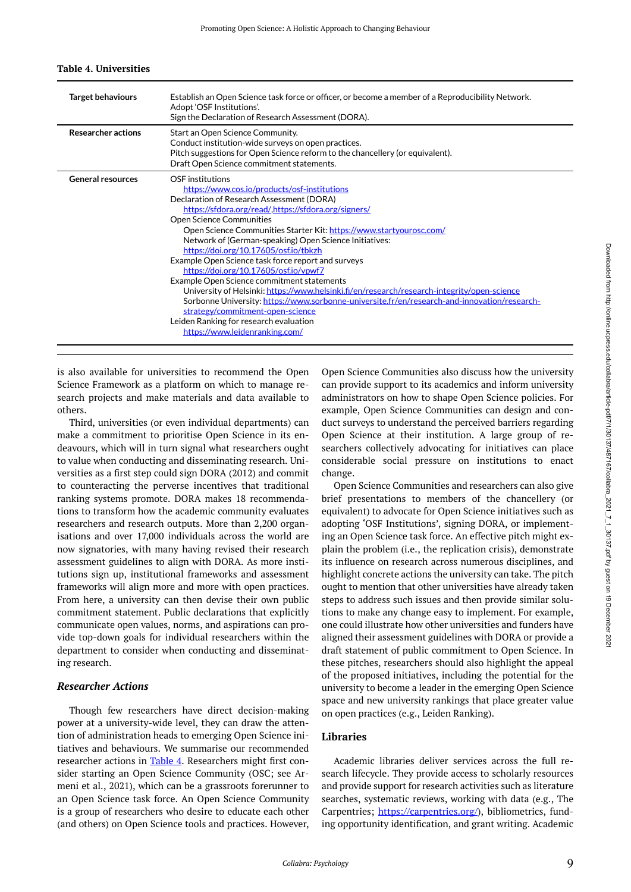<span id="page-8-0"></span>

| <b>Target behaviours</b>  | Establish an Open Science task force or officer, or become a member of a Reproducibility Network.<br>Adopt 'OSF Institutions'.<br>Sign the Declaration of Research Assessment (DORA).                                                                                                                                                                                                                                                                                                                                                                                                                                                                                                                                                                                                                                                          |
|---------------------------|------------------------------------------------------------------------------------------------------------------------------------------------------------------------------------------------------------------------------------------------------------------------------------------------------------------------------------------------------------------------------------------------------------------------------------------------------------------------------------------------------------------------------------------------------------------------------------------------------------------------------------------------------------------------------------------------------------------------------------------------------------------------------------------------------------------------------------------------|
| <b>Researcher actions</b> | Start an Open Science Community.<br>Conduct institution-wide surveys on open practices.<br>Pitch suggestions for Open Science reform to the chancellery (or equivalent).<br>Draft Open Science commitment statements.                                                                                                                                                                                                                                                                                                                                                                                                                                                                                                                                                                                                                          |
| <b>General resources</b>  | OSE institutions<br>https://www.cos.jo/products/osf-institutions<br>Declaration of Research Assessment (DORA)<br>https://sfdora.org/read/.https://sfdora.org/signers/<br><b>Open Science Communities</b><br>Open Science Communities Starter Kit: https://www.startyourosc.com/<br>Network of (German-speaking) Open Science Initiatives:<br>https://doi.org/10.17605/osf.io/tbkzh<br>Example Open Science task force report and surveys<br>https://doi.org/10.17605/osf.io/vpwf7<br>Example Open Science commitment statements<br>University of Helsinki: https://www.helsinki.fi/en/research/research-integrity/open-science<br>Sorbonne University: https://www.sorbonne-universite.fr/en/research-and-innovation/research-<br>strategy/commitment-open-science<br>Leiden Ranking for research evaluation<br>https://www.leidenranking.com/ |

#### **Table 4. Universities**

is also available for universities to recommend the Open Science Framework as a platform on which to manage research projects and make materials and data available to others.

Third, universities (or even individual departments) can make a commitment to prioritise Open Science in its endeavours, which will in turn signal what researchers ought to value when conducting and disseminating research. Universities as a first step could sign DORA (2012) and commit to counteracting the perverse incentives that traditional ranking systems promote. DORA makes 18 recommendations to transform how the academic community evaluates researchers and research outputs. More than 2,200 organisations and over 17,000 individuals across the world are now signatories, with many having revised their research assessment guidelines to align with DORA. As more institutions sign up, institutional frameworks and assessment frameworks will align more and more with open practices. From here, a university can then devise their own public commitment statement. Public declarations that explicitly communicate open values, norms, and aspirations can provide top-down goals for individual researchers within the department to consider when conducting and disseminating research.

## *Researcher Actions*

Though few researchers have direct decision-making power at a university-wide level, they can draw the attention of administration heads to emerging Open Science initiatives and behaviours. We summarise our recommended researcher actions in [Table 4](#page-8-0). Researchers might first consider starting an Open Science Community (OSC; see Armeni et al., 2021), which can be a grassroots forerunner to an Open Science task force. An Open Science Community is a group of researchers who desire to educate each other (and others) on Open Science tools and practices. However,

Open Science Communities also discuss how the university can provide support to its academics and inform university administrators on how to shape Open Science policies. For example, Open Science Communities can design and conduct surveys to understand the perceived barriers regarding Open Science at their institution. A large group of researchers collectively advocating for initiatives can place considerable social pressure on institutions to enact change.

Open Science Communities and researchers can also give brief presentations to members of the chancellery (or equivalent) to advocate for Open Science initiatives such as adopting 'OSF Institutions', signing DORA, or implementing an Open Science task force. An effective pitch might explain the problem (i.e., the replication crisis), demonstrate its influence on research across numerous disciplines, and highlight concrete actions the university can take. The pitch ought to mention that other universities have already taken steps to address such issues and then provide similar solutions to make any change easy to implement. For example, one could illustrate how other universities and funders have aligned their assessment guidelines with DORA or provide a draft statement of public commitment to Open Science. In these pitches, researchers should also highlight the appeal of the proposed initiatives, including the potential for the university to become a leader in the emerging Open Science space and new university rankings that place greater value on open practices (e.g., Leiden Ranking).

## **Libraries**

Academic libraries deliver services across the full research lifecycle. They provide access to scholarly resources and provide support for research activities such as literature searches, systematic reviews, working with data (e.g., The Carpentries; [https://carpentries.org/\)](https://carpentries.org/), bibliometrics, funding opportunity identification, and grant writing. Academic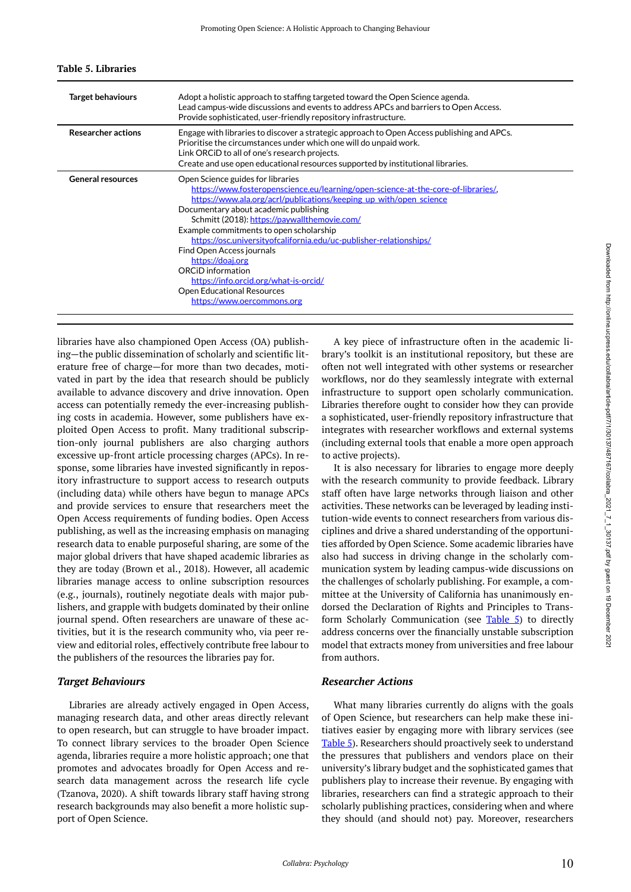| <b>Target behaviours</b>  | Adopt a holistic approach to staffing targeted toward the Open Science agenda.<br>Lead campus-wide discussions and events to address APCs and barriers to Open Access.<br>Provide sophisticated, user-friendly repository infrastructure.                                                                                                                                                                                                                                                                                                                                                |
|---------------------------|------------------------------------------------------------------------------------------------------------------------------------------------------------------------------------------------------------------------------------------------------------------------------------------------------------------------------------------------------------------------------------------------------------------------------------------------------------------------------------------------------------------------------------------------------------------------------------------|
| <b>Researcher actions</b> | Engage with libraries to discover a strategic approach to Open Access publishing and APCs.<br>Prioritise the circumstances under which one will do unpaid work.<br>Link ORCID to all of one's research projects.<br>Create and use open educational resources supported by institutional libraries.                                                                                                                                                                                                                                                                                      |
| <b>General resources</b>  | Open Science guides for libraries<br>https://www.fosteropenscience.eu/learning/open-science-at-the-core-of-libraries/,<br>https://www.ala.org/acrl/publications/keeping up with/open science<br>Documentary about academic publishing<br>Schmitt (2018): https://paywallthemovie.com/<br>Example commitments to open scholarship<br>https://osc.universityofcalifornia.edu/uc-publisher-relationships/<br>Find Open Access journals<br>https://doaj.org<br>ORCID information<br>https://info.orcid.org/what-is-orcid/<br><b>Open Educational Resources</b><br>https://www.oercommons.org |

#### <span id="page-9-0"></span>**Table 5. Libraries**

libraries have also championed Open Access (OA) publishing—the public dissemination of scholarly and scientific literature free of charge—for more than two decades, motivated in part by the idea that research should be publicly available to advance discovery and drive innovation. Open access can potentially remedy the ever-increasing publishing costs in academia. However, some publishers have exploited Open Access to profit. Many traditional subscription-only journal publishers are also charging authors excessive up-front article processing charges (APCs). In response, some libraries have invested significantly in repository infrastructure to support access to research outputs (including data) while others have begun to manage APCs and provide services to ensure that researchers meet the Open Access requirements of funding bodies. Open Access publishing, as well as the increasing emphasis on managing research data to enable purposeful sharing, are some of the major global drivers that have shaped academic libraries as they are today (Brown et al., 2018). However, all academic libraries manage access to online subscription resources (e.g., journals), routinely negotiate deals with major publishers, and grapple with budgets dominated by their online journal spend. Often researchers are unaware of these activities, but it is the research community who, via peer review and editorial roles, effectively contribute free labour to the publishers of the resources the libraries pay for.

## *Target Behaviours*

Libraries are already actively engaged in Open Access, managing research data, and other areas directly relevant to open research, but can struggle to have broader impact. To connect library services to the broader Open Science agenda, libraries require a more holistic approach; one that promotes and advocates broadly for Open Access and research data management across the research life cycle (Tzanova, 2020). A shift towards library staff having strong research backgrounds may also benefit a more holistic support of Open Science.

A key piece of infrastructure often in the academic library's toolkit is an institutional repository, but these are often not well integrated with other systems or researcher workflows, nor do they seamlessly integrate with external infrastructure to support open scholarly communication. Libraries therefore ought to consider how they can provide a sophisticated, user-friendly repository infrastructure that integrates with researcher workflows and external systems (including external tools that enable a more open approach to active projects).

It is also necessary for libraries to engage more deeply with the research community to provide feedback. Library staff often have large networks through liaison and other activities. These networks can be leveraged by leading institution-wide events to connect researchers from various disciplines and drive a shared understanding of the opportunities afforded by Open Science. Some academic libraries have also had success in driving change in the scholarly communication system by leading campus-wide discussions on the challenges of scholarly publishing. For example, a committee at the University of California has unanimously endorsed the Declaration of Rights and Principles to Trans-form Scholarly Communication (see [Table 5](#page-9-0)) to directly address concerns over the financially unstable subscription model that extracts money from universities and free labour from authors.

## *Researcher Actions*

What many libraries currently do aligns with the goals of Open Science, but researchers can help make these initiatives easier by engaging more with library services (see [Table 5](#page-9-0)). Researchers should proactively seek to understand the pressures that publishers and vendors place on their university's library budget and the sophisticated games that publishers play to increase their revenue. By engaging with libraries, researchers can find a strategic approach to their scholarly publishing practices, considering when and where they should (and should not) pay. Moreover, researchers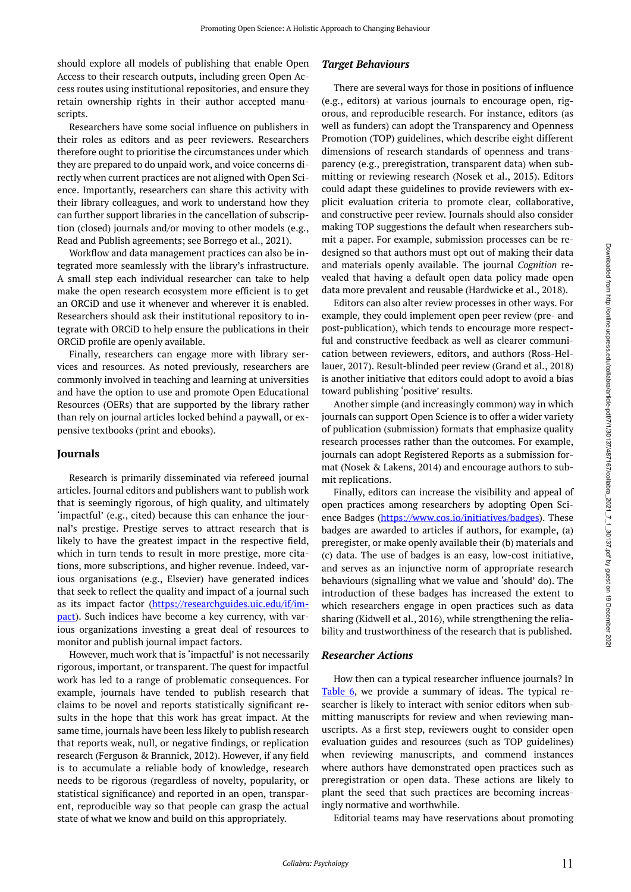should explore all models of publishing that enable Open Access to their research outputs, including green Open Access routes using institutional repositories, and ensure they retain ownership rights in their author accepted manuscripts.

Researchers have some social influence on publishers in their roles as editors and as peer reviewers. Researchers therefore ought to prioritise the circumstances under which they are prepared to do unpaid work, and voice concerns directly when current practices are not aligned with Open Science. Importantly, researchers can share this activity with their library colleagues, and work to understand how they can further support libraries in the cancellation of subscription (closed) journals and/or moving to other models (e.g., Read and Publish agreements; see Borrego et al., 2021).

Workflow and data management practices can also be integrated more seamlessly with the library's infrastructure. A small step each individual researcher can take to help make the open research ecosystem more efficient is to get an ORCiD and use it whenever and wherever it is enabled. Researchers should ask their institutional repository to integrate with ORCiD to help ensure the publications in their ORCiD profile are openly available.

Finally, researchers can engage more with library services and resources. As noted previously, researchers are commonly involved in teaching and learning at universities and have the option to use and promote Open Educational Resources (OERs) that are supported by the library rather than rely on journal articles locked behind a paywall, or expensive textbooks (print and ebooks).

## **Journals**

Research is primarily disseminated via refereed journal articles. Journal editors and publishers want to publish work that is seemingly rigorous, of high quality, and ultimately 'impactful' (e.g., cited) because this can enhance the journal's prestige. Prestige serves to attract research that is likely to have the greatest impact in the respective field, which in turn tends to result in more prestige, more citations, more subscriptions, and higher revenue. Indeed, various organisations (e.g., Elsevier) have generated indices that seek to reflect the quality and impact of a journal such as its impact factor ([https://researchguides.uic.edu/if/im](https://researchguides.uic.edu/if/impact)[pact](https://researchguides.uic.edu/if/impact)). Such indices have become a key currency, with various organizations investing a great deal of resources to monitor and publish journal impact factors.

However, much work that is 'impactful' is not necessarily rigorous, important, or transparent. The quest for impactful work has led to a range of problematic consequences. For example, journals have tended to publish research that claims to be novel and reports statistically significant results in the hope that this work has great impact. At the same time, journals have been less likely to publish research that reports weak, null, or negative findings, or replication research (Ferguson & Brannick, 2012). However, if any field is to accumulate a reliable body of knowledge, research needs to be rigorous (regardless of novelty, popularity, or statistical significance) and reported in an open, transparent, reproducible way so that people can grasp the actual state of what we know and build on this appropriately.

## *Target Behaviours*

There are several ways for those in positions of influence (e.g., editors) at various journals to encourage open, rigorous, and reproducible research. For instance, editors (as well as funders) can adopt the Transparency and Openness Promotion (TOP) guidelines, which describe eight different dimensions of research standards of openness and transparency (e.g., preregistration, transparent data) when submitting or reviewing research (Nosek et al., 2015). Editors could adapt these guidelines to provide reviewers with explicit evaluation criteria to promote clear, collaborative, and constructive peer review. Journals should also consider making TOP suggestions the default when researchers submit a paper. For example, submission processes can be redesigned so that authors must opt out of making their data and materials openly available. The journal *Cognition* revealed that having a default open data policy made open data more prevalent and reusable (Hardwicke et al., 2018).

Editors can also alter review processes in other ways. For example, they could implement open peer review (pre- and post-publication), which tends to encourage more respectful and constructive feedback as well as clearer communication between reviewers, editors, and authors (Ross-Hellauer, 2017). Result-blinded peer review (Grand et al., 2018) is another initiative that editors could adopt to avoid a bias toward publishing 'positive' results.

Another simple (and increasingly common) way in which journals can support Open Science is to offer a wider variety of publication (submission) formats that emphasize quality research processes rather than the outcomes. For example, journals can adopt Registered Reports as a submission format (Nosek & Lakens, 2014) and encourage authors to submit replications.

Finally, editors can increase the visibility and appeal of open practices among researchers by adopting Open Sci-ence Badges [\(https://www.cos.io/initiatives/badges\)](https://www.cos.io/initiatives/badges). These badges are awarded to articles if authors, for example, (a) preregister, or make openly available their (b) materials and (c) data. The use of badges is an easy, low-cost initiative, and serves as an injunctive norm of appropriate research behaviours (signalling what we value and 'should' do). The introduction of these badges has increased the extent to which researchers engage in open practices such as data sharing (Kidwell et al., 2016), while strengthening the reliability and trustworthiness of the research that is published.

## *Researcher Actions*

How then can a typical researcher influence journals? In [Table 6](#page-11-0), we provide a summary of ideas. The typical researcher is likely to interact with senior editors when submitting manuscripts for review and when reviewing manuscripts. As a first step, reviewers ought to consider open evaluation guides and resources (such as TOP guidelines) when reviewing manuscripts, and commend instances where authors have demonstrated open practices such as preregistration or open data. These actions are likely to plant the seed that such practices are becoming increasingly normative and worthwhile.

Editorial teams may have reservations about promoting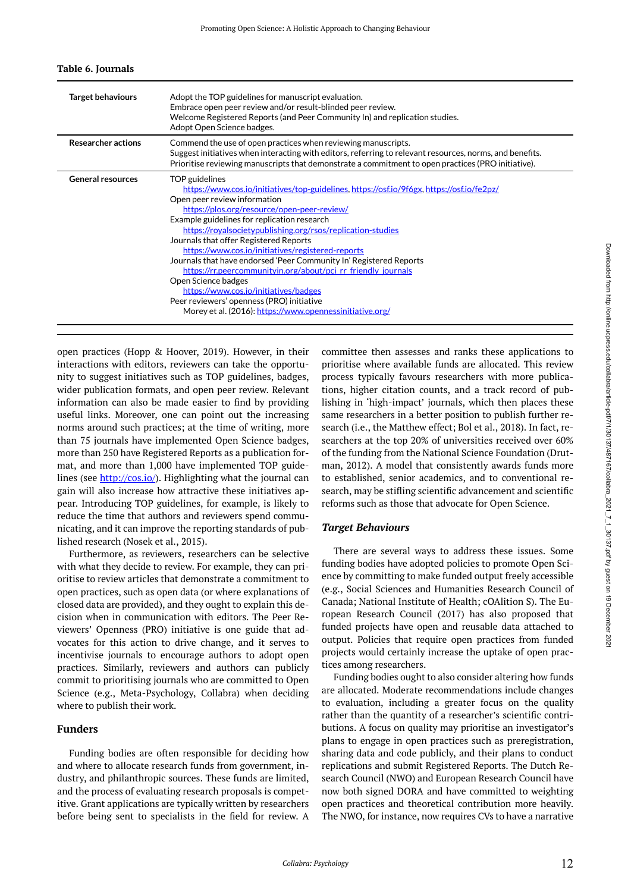| <b>Target behaviours</b>  | Adopt the TOP guidelines for manuscript evaluation.<br>Embrace open peer review and/or result-blinded peer review.<br>Welcome Registered Reports (and Peer Community In) and replication studies.<br>Adopt Open Science badges.                                                                                                                                                                                                                                                                                                                                                                                                                                                                                        |
|---------------------------|------------------------------------------------------------------------------------------------------------------------------------------------------------------------------------------------------------------------------------------------------------------------------------------------------------------------------------------------------------------------------------------------------------------------------------------------------------------------------------------------------------------------------------------------------------------------------------------------------------------------------------------------------------------------------------------------------------------------|
| <b>Researcher actions</b> | Commend the use of open practices when reviewing manuscripts.<br>Suggest initiatives when interacting with editors, referring to relevant resources, norms, and benefits.<br>Prioritise reviewing manuscripts that demonstrate a commitment to open practices (PRO initiative).                                                                                                                                                                                                                                                                                                                                                                                                                                        |
| <b>General resources</b>  | TOP guidelines<br>https://www.cos.jo/initiatives/top-guidelines.https://osf.jo/9f6gx.https://osf.jo/fe2pz/<br>Open peer review information<br>https://plos.org/resource/open-peer-review/<br>Example guidelines for replication research<br>https://royalsocietypublishing.org/rsos/replication-studies<br>Journals that offer Registered Reports<br>https://www.cos.io/initiatives/registered-reports<br>Journals that have endorsed 'Peer Community In' Registered Reports<br>https://rr.peercommunityin.org/about/pci_rr_friendly_journals<br>Open Science badges<br>https://www.cos.jo/initiatives/badges<br>Peer reviewers' openness (PRO) initiative<br>Morey et al. (2016): https://www.opennessinitiative.org/ |

#### <span id="page-11-0"></span>**Table 6. Journals**

open practices (Hopp & Hoover, 2019). However, in their interactions with editors, reviewers can take the opportunity to suggest initiatives such as TOP guidelines, badges, wider publication formats, and open peer review. Relevant information can also be made easier to find by providing useful links. Moreover, one can point out the increasing norms around such practices; at the time of writing, more than 75 journals have implemented Open Science badges, more than 250 have Registered Reports as a publication format, and more than 1,000 have implemented TOP guidelines (see [http://cos.io/\)](http://cos.io/). Highlighting what the journal can gain will also increase how attractive these initiatives appear. Introducing TOP guidelines, for example, is likely to reduce the time that authors and reviewers spend communicating, and it can improve the reporting standards of published research (Nosek et al., 2015).

Furthermore, as reviewers, researchers can be selective with what they decide to review. For example, they can prioritise to review articles that demonstrate a commitment to open practices, such as open data (or where explanations of closed data are provided), and they ought to explain this decision when in communication with editors. The Peer Reviewers' Openness (PRO) initiative is one guide that advocates for this action to drive change, and it serves to incentivise journals to encourage authors to adopt open practices. Similarly, reviewers and authors can publicly commit to prioritising journals who are committed to Open Science (e.g., Meta-Psychology, Collabra) when deciding where to publish their work.

## **Funders**

Funding bodies are often responsible for deciding how and where to allocate research funds from government, industry, and philanthropic sources. These funds are limited, and the process of evaluating research proposals is competitive. Grant applications are typically written by researchers before being sent to specialists in the field for review. A committee then assesses and ranks these applications to prioritise where available funds are allocated. This review process typically favours researchers with more publications, higher citation counts, and a track record of publishing in 'high-impact' journals, which then places these same researchers in a better position to publish further research (i.e., the Matthew effect; Bol et al., 2018). In fact, researchers at the top 20% of universities received over 60% of the funding from the National Science Foundation (Drutman, 2012). A model that consistently awards funds more to established, senior academics, and to conventional research, may be stifling scientific advancement and scientific reforms such as those that advocate for Open Science.

## *Target Behaviours*

There are several ways to address these issues. Some funding bodies have adopted policies to promote Open Science by committing to make funded output freely accessible (e.g., Social Sciences and Humanities Research Council of Canada; National Institute of Health; cOAlition S). The European Research Council (2017) has also proposed that funded projects have open and reusable data attached to output. Policies that require open practices from funded projects would certainly increase the uptake of open practices among researchers.

Funding bodies ought to also consider altering how funds are allocated. Moderate recommendations include changes to evaluation, including a greater focus on the quality rather than the quantity of a researcher's scientific contributions. A focus on quality may prioritise an investigator's plans to engage in open practices such as preregistration, sharing data and code publicly, and their plans to conduct replications and submit Registered Reports. The Dutch Research Council (NWO) and European Research Council have now both signed DORA and have committed to weighting open practices and theoretical contribution more heavily. The NWO, for instance, now requires CVs to have a narrative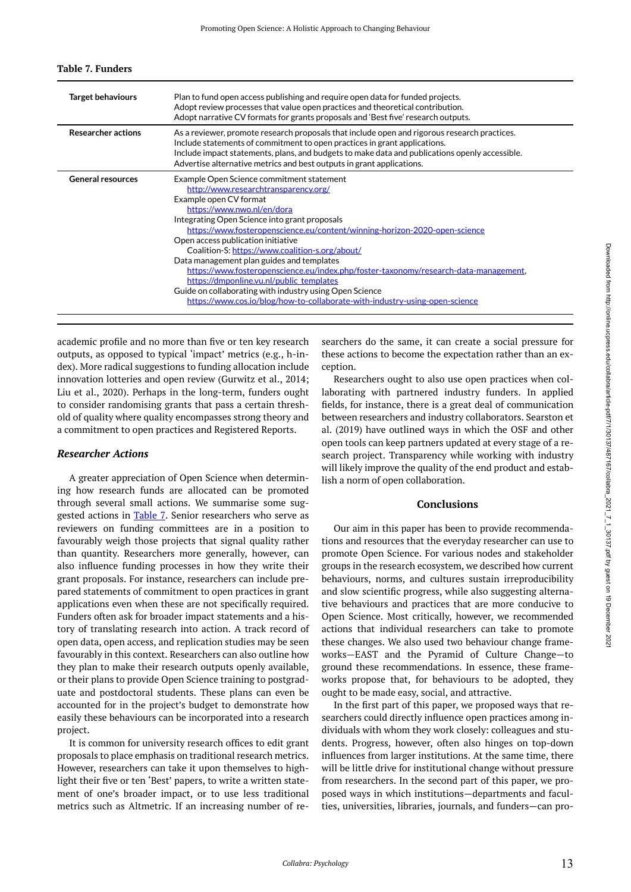| <b>Target behaviours</b>  | Plan to fund open access publishing and require open data for funded projects.<br>Adopt review processes that value open practices and theoretical contribution.<br>Adopt narrative CV formats for grants proposals and 'Best five' research outputs.                                                                                                                                                                                                                                                                                                                                                                                                                                        |
|---------------------------|----------------------------------------------------------------------------------------------------------------------------------------------------------------------------------------------------------------------------------------------------------------------------------------------------------------------------------------------------------------------------------------------------------------------------------------------------------------------------------------------------------------------------------------------------------------------------------------------------------------------------------------------------------------------------------------------|
| <b>Researcher actions</b> | As a reviewer, promote research proposals that include open and rigorous research practices.<br>Include statements of commitment to open practices in grant applications.<br>Include impact statements, plans, and budgets to make data and publications openly accessible.<br>Advertise alternative metrics and best outputs in grant applications.                                                                                                                                                                                                                                                                                                                                         |
| <b>General resources</b>  | Example Open Science commitment statement<br>http://www.researchtransparency.org/<br>Example open CV format<br>https://www.nwo.nl/en/dora<br>Integrating Open Science into grant proposals<br>https://www.fosteropenscience.eu/content/winning-horizon-2020-open-science<br>Open access publication initiative<br>Coalition-S: https://www.coalition-s.org/about/<br>Data management plan guides and templates<br>https://www.fosteropenscience.eu/index.php/foster-taxonomy/research-data-management,<br>https://dmponline.vu.nl/public_templates<br>Guide on collaborating with industry using Open Science<br>https://www.cos.io/blog/how-to-collaborate-with-industry-using-open-science |

#### <span id="page-12-0"></span>**Table 7. Funders**

academic profile and no more than five or ten key research outputs, as opposed to typical 'impact' metrics (e.g., h-index). More radical suggestions to funding allocation include innovation lotteries and open review (Gurwitz et al., 2014; Liu et al., 2020). Perhaps in the long-term, funders ought to consider randomising grants that pass a certain threshold of quality where quality encompasses strong theory and a commitment to open practices and Registered Reports.

## *Researcher Actions*

A greater appreciation of Open Science when determining how research funds are allocated can be promoted through several small actions. We summarise some sug-gested actions in [Table 7](#page-12-0). Senior researchers who serve as reviewers on funding committees are in a position to favourably weigh those projects that signal quality rather than quantity. Researchers more generally, however, can also influence funding processes in how they write their grant proposals. For instance, researchers can include prepared statements of commitment to open practices in grant applications even when these are not specifically required. Funders often ask for broader impact statements and a history of translating research into action. A track record of open data, open access, and replication studies may be seen favourably in this context. Researchers can also outline how they plan to make their research outputs openly available, or their plans to provide Open Science training to postgraduate and postdoctoral students. These plans can even be accounted for in the project's budget to demonstrate how easily these behaviours can be incorporated into a research project.

It is common for university research offices to edit grant proposals to place emphasis on traditional research metrics. However, researchers can take it upon themselves to highlight their five or ten 'Best' papers, to write a written statement of one's broader impact, or to use less traditional metrics such as Altmetric. If an increasing number of re-

searchers do the same, it can create a social pressure for these actions to become the expectation rather than an exception.

Researchers ought to also use open practices when collaborating with partnered industry funders. In applied fields, for instance, there is a great deal of communication between researchers and industry collaborators. Searston et al. (2019) have outlined ways in which the OSF and other open tools can keep partners updated at every stage of a research project. Transparency while working with industry will likely improve the quality of the end product and establish a norm of open collaboration.

## **Conclusions**

Our aim in this paper has been to provide recommendations and resources that the everyday researcher can use to promote Open Science. For various nodes and stakeholder groups in the research ecosystem, we described how current behaviours, norms, and cultures sustain irreproducibility and slow scientific progress, while also suggesting alternative behaviours and practices that are more conducive to Open Science. Most critically, however, we recommended actions that individual researchers can take to promote these changes. We also used two behaviour change frameworks—EAST and the Pyramid of Culture Change—to ground these recommendations. In essence, these frameworks propose that, for behaviours to be adopted, they ought to be made easy, social, and attractive.

In the first part of this paper, we proposed ways that researchers could directly influence open practices among individuals with whom they work closely: colleagues and students. Progress, however, often also hinges on top-down influences from larger institutions. At the same time, there will be little drive for institutional change without pressure from researchers. In the second part of this paper, we proposed ways in which institutions—departments and faculties, universities, libraries, journals, and funders—can pro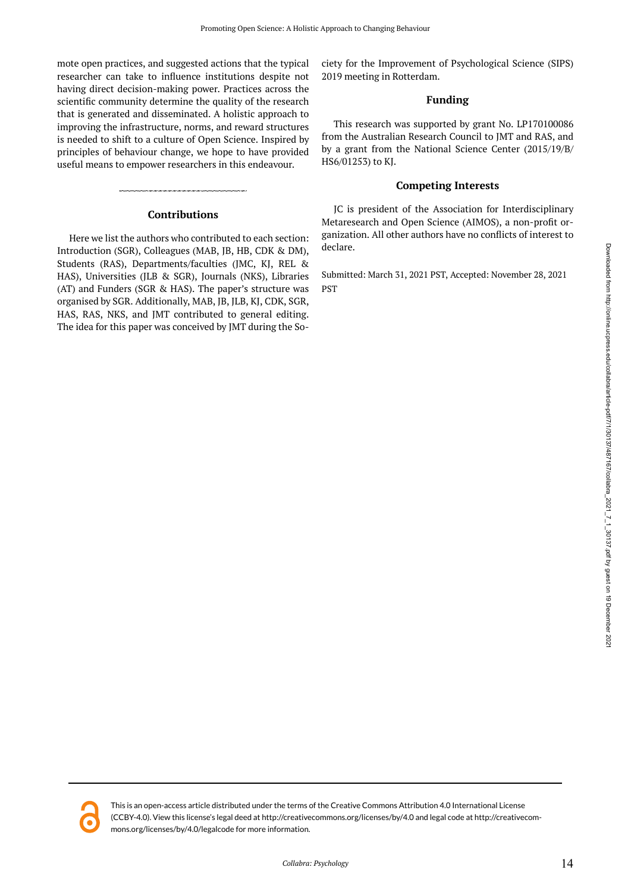mote open practices, and suggested actions that the typical researcher can take to influence institutions despite not having direct decision-making power. Practices across the scientific community determine the quality of the research that is generated and disseminated. A holistic approach to improving the infrastructure, norms, and reward structures is needed to shift to a culture of Open Science. Inspired by principles of behaviour change, we hope to have provided useful means to empower researchers in this endeavour.

## **Contributions**

Here we list the authors who contributed to each section: Introduction (SGR), Colleagues (MAB, JB, HB, CDK & DM), Students (RAS), Departments/faculties (JMC, KJ, REL & HAS), Universities (JLB & SGR), Journals (NKS), Libraries (AT) and Funders (SGR & HAS). The paper's structure was organised by SGR. Additionally, MAB, JB, JLB, KJ, CDK, SGR, HAS, RAS, NKS, and JMT contributed to general editing. The idea for this paper was conceived by JMT during the Society for the Improvement of Psychological Science (SIPS) 2019 meeting in Rotterdam.

## **Funding**

This research was supported by grant No. LP170100086 from the Australian Research Council to JMT and RAS, and by a grant from the National Science Center (2015/19/B/ HS6/01253) to KJ.

## **Competing Interests**

JC is president of the Association for Interdisciplinary Metaresearch and Open Science (AIMOS), a non-profit organization. All other authors have no conflicts of interest to declare.

Submitted: March 31, 2021 PST, Accepted: November 28, 2021 PST



This is an open-access article distributed under the terms of the Creative Commons Attribution 4.0 International License (CCBY-4.0). View this license's legal deed at http://creativecommons.org/licenses/by/4.0 and legal code at http://creativecommons.org/licenses/by/4.0/legalcode for more information.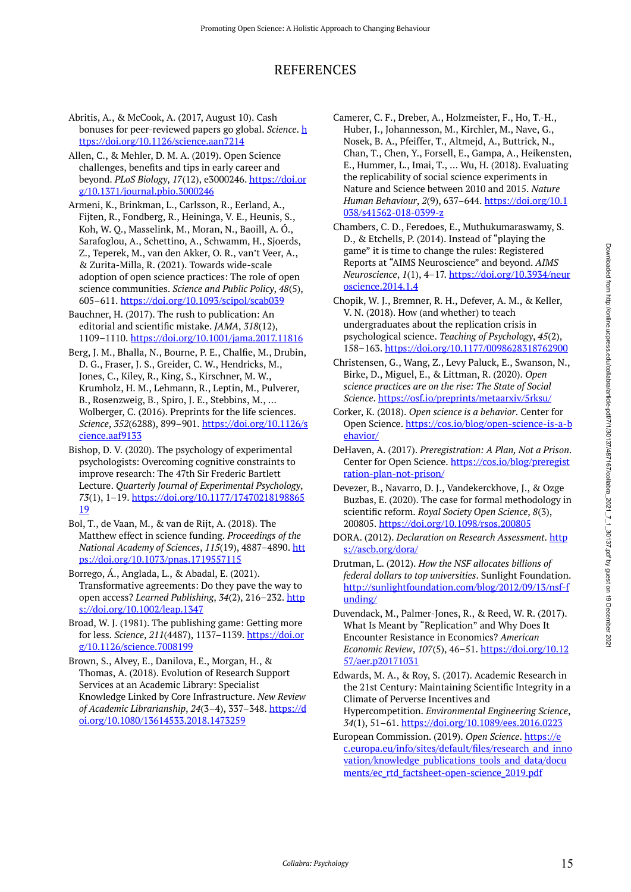# REFERENCES

Abritis, A., & McCook, A. (2017, August 10). Cash bonuses for peer-reviewed papers go global. *Science*. [h](https://doi.org/10.1126/science.aan7214) [ttps://doi.org/10.1126/science.aan7214](https://doi.org/10.1126/science.aan7214) 

Allen, C., & Mehler, D. M. A. (2019). Open Science challenges, benefits and tips in early career and beyond. *PLoS Biology*, *17*(12), e3000246. [https://doi.or](https://doi.org/10.1371/journal.pbio.3000246) [g/10.1371/journal.pbio.3000246](https://doi.org/10.1371/journal.pbio.3000246) 

Armeni, K., Brinkman, L., Carlsson, R., Eerland, A., Fijten, R., Fondberg, R., Heininga, V. E., Heunis, S., Koh, W. Q., Masselink, M., Moran, N., Baoill, A. Ó., Sarafoglou, A., Schettino, A., Schwamm, H., Sjoerds, Z., Teperek, M., van den Akker, O. R., van't Veer, A., & Zurita-Milla, R. (2021). Towards wide-scale adoption of open science practices: The role of open science communities. *Science and Public Policy*, *48*(5), 605–611. <https://doi.org/10.1093/scipol/scab039>

Bauchner, H. (2017). The rush to publication: An editorial and scientific mistake. *JAMA*, *318*(12), 1109–1110.<https://doi.org/10.1001/jama.2017.11816>

Berg, J. M., Bhalla, N., Bourne, P. E., Chalfie, M., Drubin, D. G., Fraser, J. S., Greider, C. W., Hendricks, M., Jones, C., Kiley, R., King, S., Kirschner, M. W., Krumholz, H. M., Lehmann, R., Leptin, M., Pulverer, B., Rosenzweig, B., Spiro, J. E., Stebbins, M., … Wolberger, C. (2016). Preprints for the life sciences. *Science*, *352*(6288), 899–901. [https://doi.org/10.1126/s](https://doi.org/10.1126/science.aaf9133) [cience.aaf9133](https://doi.org/10.1126/science.aaf9133) 

Bishop, D. V. (2020). The psychology of experimental psychologists: Overcoming cognitive constraints to improve research: The 47th Sir Frederic Bartlett Lecture. *Quarterly Journal of Experimental Psychology*, *73*(1), 1–19. [https://doi.org/10.1177/17470218198865](https://doi.org/10.1177/1747021819886519) [19](https://doi.org/10.1177/1747021819886519)

Bol, T., de Vaan, M., & van de Rijt, A. (2018). The Matthew effect in science funding. *Proceedings of the National Academy of Sciences*, *115*(19), 4887–4890. [htt](https://doi.org/10.1073/pnas.1719557115) [ps://doi.org/10.1073/pnas.1719557115](https://doi.org/10.1073/pnas.1719557115) 

Borrego, Á., Anglada, L., & Abadal, E. (2021). Transformative agreements: Do they pave the way to open access? *Learned Publishing*, *34*(2), 216–232. [http](https://doi.org/10.1002/leap.1347) [s://doi.org/10.1002/leap.1347](https://doi.org/10.1002/leap.1347)

Broad, W. J. (1981). The publishing game: Getting more for less. *Science*, *211*(4487), 1137–1139. [https://doi.or](https://doi.org/10.1126/science.7008199) [g/10.1126/science.7008199](https://doi.org/10.1126/science.7008199)

Brown, S., Alvey, E., Danilova, E., Morgan, H., & Thomas, A. (2018). Evolution of Research Support Services at an Academic Library: Specialist Knowledge Linked by Core Infrastructure. *New Review of Academic Librarianship*, *24*(3–4), 337–348. [https://d](https://doi.org/10.1080/13614533.2018.1473259) [oi.org/10.1080/13614533.2018.1473259](https://doi.org/10.1080/13614533.2018.1473259) 

Camerer, C. F., Dreber, A., Holzmeister, F., Ho, T.-H., Huber, J., Johannesson, M., Kirchler, M., Nave, G., Nosek, B. A., Pfeiffer, T., Altmejd, A., Buttrick, N., Chan, T., Chen, Y., Forsell, E., Gampa, A., Heikensten, E., Hummer, L., Imai, T., … Wu, H. (2018). Evaluating the replicability of social science experiments in Nature and Science between 2010 and 2015. *Nature Human Behaviour*, *2*(9), 637–644. [https://doi.org/10.1](https://doi.org/10.1038/s41562-018-0399-z) [038/s41562-018-0399-z](https://doi.org/10.1038/s41562-018-0399-z) 

Chambers, C. D., Feredoes, E., Muthukumaraswamy, S. D., & Etchells, P. (2014). Instead of "playing the game" it is time to change the rules: Registered Reports at "AIMS Neuroscience" and beyond. *AIMS Neuroscience*, *1*(1), 4–17. [https://doi.org/10.3934/neur](https://doi.org/10.3934/neuroscience.2014.1.4) [oscience.2014.1.4](https://doi.org/10.3934/neuroscience.2014.1.4) 

Chopik, W. J., Bremner, R. H., Defever, A. M., & Keller, V. N. (2018). How (and whether) to teach undergraduates about the replication crisis in psychological science. *Teaching of Psychology*, *45*(2), 158–163.<https://doi.org/10.1177/0098628318762900>

Christensen, G., Wang, Z., Levy Paluck, E., Swanson, N., Birke, D., Miguel, E., & Littman, R. (2020). *Open science practices are on the rise: The State of Social Science*. <https://osf.io/preprints/metaarxiv/5rksu/>

Corker, K. (2018). *Open science is a behavior*. Center for Open Science. [https://cos.io/blog/open-science-is-a-b](https://cos.io/blog/open-science-is-a-behavior/) [ehavior/](https://cos.io/blog/open-science-is-a-behavior/)

DeHaven, A. (2017). *Preregistration: A Plan, Not a Prison*. Center for Open Science. [https://cos.io/blog/preregist](https://cos.io/blog/preregistration-plan-not-prison/) [ration-plan-not-prison/](https://cos.io/blog/preregistration-plan-not-prison/) 

Devezer, B., Navarro, D. J., Vandekerckhove, J., & Ozge Buzbas, E. (2020). The case for formal methodology in scientific reform. *Royal Society Open Science*, *8*(3), 200805. <https://doi.org/10.1098/rsos.200805>

DORA. (2012). *Declaration on Research Assessment*. [http](https://ascb.org/dora/) [s://ascb.org/dora/](https://ascb.org/dora/) 

- Drutman, L. (2012). *How the NSF allocates billions of federal dollars to top universities*. Sunlight Foundation. [http://sunlightfoundation.com/blog/2012/09/13/nsf-f](http://sunlightfoundation.com/blog/2012/09/13/nsf-funding/) [unding/](http://sunlightfoundation.com/blog/2012/09/13/nsf-funding/)
- Duvendack, M., Palmer-Jones, R., & Reed, W. R. (2017). What Is Meant by "Replication" and Why Does It Encounter Resistance in Economics? *American Economic Review*, *107*(5), 46–51. [https://doi.org/10.12](https://doi.org/10.1257/aer.p20171031) [57/aer.p20171031](https://doi.org/10.1257/aer.p20171031)

Edwards, M. A., & Roy, S. (2017). Academic Research in the 21st Century: Maintaining Scientific Integrity in a Climate of Perverse Incentives and Hypercompetition. *Environmental Engineering Science*, *34*(1), 51–61. <https://doi.org/10.1089/ees.2016.0223>

European Commission. (2019). *Open Science*. [https://e](https://ec.europa.eu/info/sites/default/files/research_and_innovation/knowledge_publications_tools_and_data/documents/ec_rtd_factsheet-open-science_2019.pdf) [c.europa.eu/info/sites/default/files/research\\_and\\_inno](https://ec.europa.eu/info/sites/default/files/research_and_innovation/knowledge_publications_tools_and_data/documents/ec_rtd_factsheet-open-science_2019.pdf) [vation/knowledge\\_publications\\_tools\\_and\\_data/docu](https://ec.europa.eu/info/sites/default/files/research_and_innovation/knowledge_publications_tools_and_data/documents/ec_rtd_factsheet-open-science_2019.pdf) [ments/ec\\_rtd\\_factsheet-open-science\\_2019.pdf](https://ec.europa.eu/info/sites/default/files/research_and_innovation/knowledge_publications_tools_and_data/documents/ec_rtd_factsheet-open-science_2019.pdf)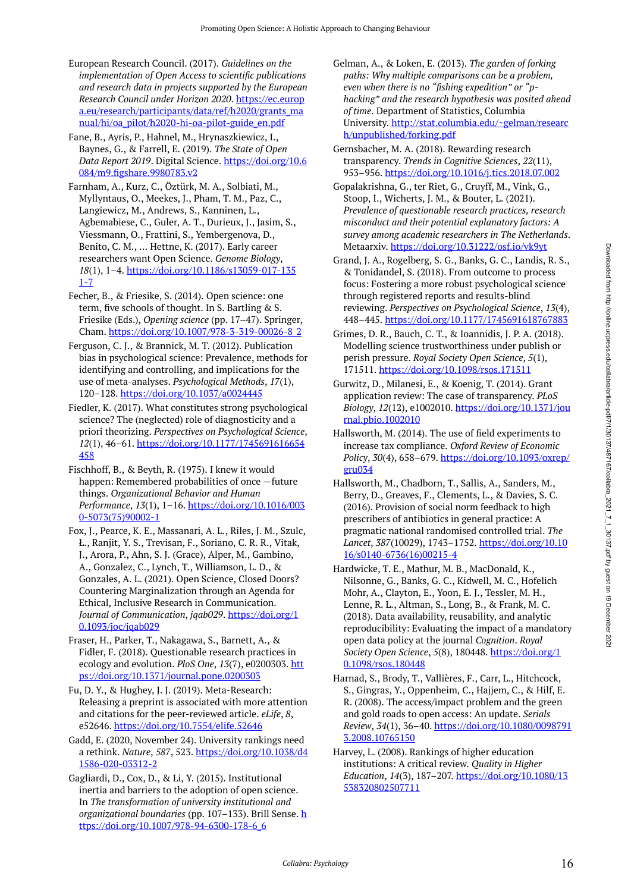- European Research Council. (2017). *Guidelines on the implementation of Open Access to scientific publications and research data in projects supported by the European Research Council under Horizon 2020*. [https://ec.europ](https://ec.europa.eu/research/participants/data/ref/h2020/grants_manual/hi/oa_pilot/h2020-hi-oa-pilot-guide_en.pdf) [a.eu/research/participants/data/ref/h2020/grants\\_ma](https://ec.europa.eu/research/participants/data/ref/h2020/grants_manual/hi/oa_pilot/h2020-hi-oa-pilot-guide_en.pdf) [nual/hi/oa\\_pilot/h2020-hi-oa-pilot-guide\\_en.pdf](https://ec.europa.eu/research/participants/data/ref/h2020/grants_manual/hi/oa_pilot/h2020-hi-oa-pilot-guide_en.pdf)
- Fane, B., Ayris, P., Hahnel, M., Hrynaszkiewicz, I., Baynes, G., & Farrell, E. (2019). *The State of Open Data Report 2019*. Digital Science. [https://doi.org/10.6](https://doi.org/10.6084/m9.figshare.9980783.v2) [084/m9.figshare.9980783.v2](https://doi.org/10.6084/m9.figshare.9980783.v2)
- Farnham, A., Kurz, C., Öztürk, M. A., Solbiati, M., Myllyntaus, O., Meekes, J., Pham, T. M., Paz, C., Langiewicz, M., Andrews, S., Kanninen, L., Agbemabiese, C., Guler, A. T., Durieux, J., Jasim, S., Viessmann, O., Frattini, S., Yembergenova, D., Benito, C. M., … Hettne, K. (2017). Early career researchers want Open Science. *Genome Biology*, *18*(1), 1–4. [https://doi.org/10.1186/s13059-017-135](https://doi.org/10.1186/s13059-017-1351-7) [1-7](https://doi.org/10.1186/s13059-017-1351-7)
- Fecher, B., & Friesike, S. (2014). Open science: one term, five schools of thought. In S. Bartling & S. Friesike (Eds.), *Opening science* (pp. 17–47). Springer, Cham. [https://doi.org/10.1007/978-3-319-00026-8\\_2](https://doi.org/10.1007/978-3-319-00026-8_2)
- Ferguson, C. J., & Brannick, M. T. (2012). Publication bias in psychological science: Prevalence, methods for identifying and controlling, and implications for the use of meta-analyses. *Psychological Methods*, *17*(1), 120–128. <https://doi.org/10.1037/a0024445>
- Fiedler, K. (2017). What constitutes strong psychological science? The (neglected) role of diagnosticity and a priori theorizing. *Perspectives on Psychological Science*, *12*(1), 46–61. [https://doi.org/10.1177/1745691616654](https://doi.org/10.1177/1745691616654458) [458](https://doi.org/10.1177/1745691616654458)
- Fischhoff, B., & Beyth, R. (1975). I knew it would happen: Remembered probabilities of once —future things. *Organizational Behavior and Human Performance*, *13*(1), 1–16. [https://doi.org/10.1016/003](https://doi.org/10.1016/0030-5073(75)90002-1) [0-5073\(75\)90002-1](https://doi.org/10.1016/0030-5073(75)90002-1)
- Fox, J., Pearce, K. E., Massanari, A. L., Riles, J. M., Szulc, Ł., Ranjit, Y. S., Trevisan, F., Soriano, C. R. R., Vitak, J., Arora, P., Ahn, S. J. (Grace), Alper, M., Gambino, A., Gonzalez, C., Lynch, T., Williamson, L. D., & Gonzales, A. L. (2021). Open Science, Closed Doors? Countering Marginalization through an Agenda for Ethical, Inclusive Research in Communication. *Journal of Communication*, *jqab029*. [https://doi.org/1](https://doi.org/10.1093/joc/jqab029) [0.1093/joc/jqab029](https://doi.org/10.1093/joc/jqab029)
- Fraser, H., Parker, T., Nakagawa, S., Barnett, A., & Fidler, F. (2018). Questionable research practices in ecology and evolution. *PloS One*, *13*(7), e0200303. [htt](https://doi.org/10.1371/journal.pone.0200303) [ps://doi.org/10.1371/journal.pone.0200303](https://doi.org/10.1371/journal.pone.0200303)
- Fu, D. Y., & Hughey, J. J. (2019). Meta-Research: Releasing a preprint is associated with more attention and citations for the peer-reviewed article. *eLife*, *8*, e52646. <https://doi.org/10.7554/elife.52646>
- Gadd, E. (2020, November 24). University rankings need a rethink. *Nature*, *587*, 523. [https://doi.org/10.1038/d4](https://doi.org/10.1038/d41586-020-03312-2) [1586-020-03312-2](https://doi.org/10.1038/d41586-020-03312-2)
- Gagliardi, D., Cox, D., & Li, Y. (2015). Institutional inertia and barriers to the adoption of open science. In *The transformation of university institutional and organizational boundaries* (pp. 107–133). Brill Sense. [h](https://doi.org/10.1007/978-94-6300-178-6_6) [ttps://doi.org/10.1007/978-94-6300-178-6\\_6](https://doi.org/10.1007/978-94-6300-178-6_6)
- Gelman, A., & Loken, E. (2013). *The garden of forking paths: Why multiple comparisons can be a problem, even when there is no "fishing expedition" or "phacking" and the research hypothesis was posited ahead of time*. Department of Statistics, Columbia University. [http://stat.columbia.edu/~gelman/researc](http://stat.columbia.edu/~gelman/research/unpublished/forking.pdf) [h/unpublished/forking.pdf](http://stat.columbia.edu/~gelman/research/unpublished/forking.pdf)
- Gernsbacher, M. A. (2018). Rewarding research transparency. *Trends in Cognitive Sciences*, *22*(11), 953–956.<https://doi.org/10.1016/j.tics.2018.07.002>
- Gopalakrishna, G., ter Riet, G., Cruyff, M., Vink, G., Stoop, I., Wicherts, J. M., & Bouter, L. (2021). *Prevalence of questionable research practices, research misconduct and their potential explanatory factors: A survey among academic researchers in The Netherlands*. Metaarxiv. <https://doi.org/10.31222/osf.io/vk9yt>
- Grand, J. A., Rogelberg, S. G., Banks, G. C., Landis, R. S., & Tonidandel, S. (2018). From outcome to process focus: Fostering a more robust psychological science through registered reports and results-blind reviewing. *Perspectives on Psychological Science*, *13*(4), 448–445.<https://doi.org/10.1177/1745691618767883>
- Grimes, D. R., Bauch, C. T., & Ioannidis, J. P. A. (2018). Modelling science trustworthiness under publish or perish pressure. *Royal Society Open Science*, *5*(1), 171511. <https://doi.org/10.1098/rsos.171511>
- Gurwitz, D., Milanesi, E., & Koenig, T. (2014). Grant application review: The case of transparency. *PLoS Biology*, *12*(12), e1002010. [https://doi.org/10.1371/jou](https://doi.org/10.1371/journal.pbio.1002010) [rnal.pbio.1002010](https://doi.org/10.1371/journal.pbio.1002010)
- Hallsworth, M. (2014). The use of field experiments to increase tax compliance. *Oxford Review of Economic Policy*, *30*(4), 658–679. [https://doi.org/10.1093/oxrep/](https://doi.org/10.1093/oxrep/gru034) [gru034](https://doi.org/10.1093/oxrep/gru034)
- Hallsworth, M., Chadborn, T., Sallis, A., Sanders, M., Berry, D., Greaves, F., Clements, L., & Davies, S. C. (2016). Provision of social norm feedback to high prescribers of antibiotics in general practice: A pragmatic national randomised controlled trial. *The Lancet*, *387*(10029), 1743–1752. [https://doi.org/10.10](https://doi.org/10.1016/s0140-6736(16)00215-4) [16/s0140-6736\(16\)00215-4](https://doi.org/10.1016/s0140-6736(16)00215-4)
- Hardwicke, T. E., Mathur, M. B., MacDonald, K., Nilsonne, G., Banks, G. C., Kidwell, M. C., Hofelich Mohr, A., Clayton, E., Yoon, E. J., Tessler, M. H., Lenne, R. L., Altman, S., Long, B., & Frank, M. C. (2018). Data availability, reusability, and analytic reproducibility: Evaluating the impact of a mandatory open data policy at the journal *Cognition*. *Royal Society Open Science*, *5*(8), 180448. [https://doi.org/1](https://doi.org/10.1098/rsos.180448) [0.1098/rsos.180448](https://doi.org/10.1098/rsos.180448)
- Harnad, S., Brody, T., Vallières, F., Carr, L., Hitchcock, S., Gingras, Y., Oppenheim, C., Hajjem, C., & Hilf, E. R. (2008). The access/impact problem and the green and gold roads to open access: An update. *Serials Review*, *34*(1), 36–40. [https://doi.org/10.1080/0098791](https://doi.org/10.1080/00987913.2008.10765150) [3.2008.10765150](https://doi.org/10.1080/00987913.2008.10765150)
- Harvey, L. (2008). Rankings of higher education institutions: A critical review. *Quality in Higher Education*, *14*(3), 187–207. [https://doi.org/10.1080/13](https://doi.org/10.1080/13538320802507711) [538320802507711](https://doi.org/10.1080/13538320802507711)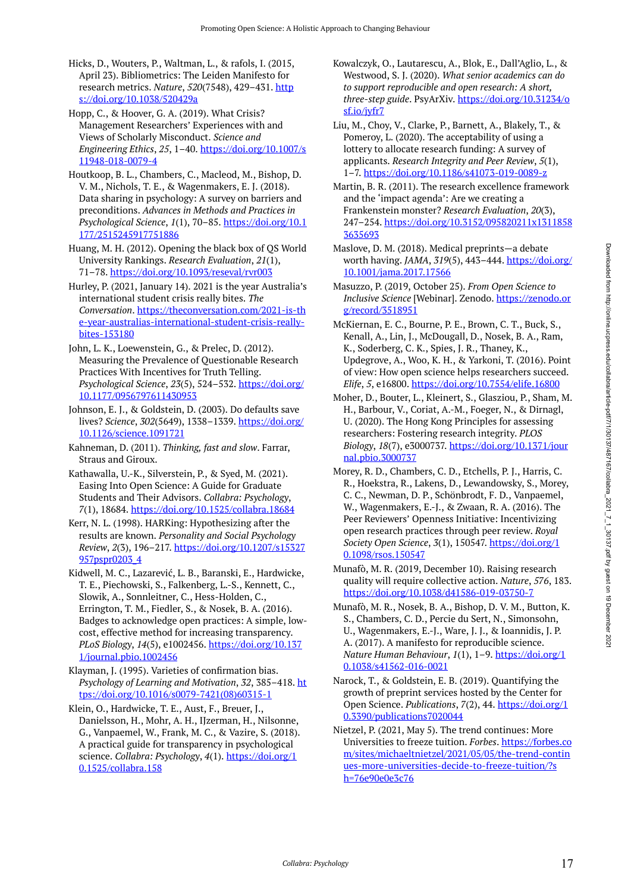- Hicks, D., Wouters, P., Waltman, L., & rafols, I. (2015, April 23). Bibliometrics: The Leiden Manifesto for research metrics. *Nature*, *520*(7548), 429–431. [http](https://doi.org/10.1038/520429a) [s://doi.org/10.1038/520429a](https://doi.org/10.1038/520429a)
- Hopp, C., & Hoover, G. A. (2019). What Crisis? Management Researchers' Experiences with and Views of Scholarly Misconduct. *Science and Engineering Ethics*, *25*, 1–40. [https://doi.org/10.1007/s](https://doi.org/10.1007/s11948-018-0079-4) [11948-018-0079-4](https://doi.org/10.1007/s11948-018-0079-4)
- Houtkoop, B. L., Chambers, C., Macleod, M., Bishop, D. V. M., Nichols, T. E., & Wagenmakers, E. J. (2018). Data sharing in psychology: A survey on barriers and preconditions. *Advances in Methods and Practices in Psychological Science*, *1*(1), 70–85. [https://doi.org/10.1](https://doi.org/10.1177/2515245917751886) [177/2515245917751886](https://doi.org/10.1177/2515245917751886)

Huang, M. H. (2012). Opening the black box of QS World University Rankings. *Research Evaluation*, *21*(1), 71–78.<https://doi.org/10.1093/reseval/rvr003>

- Hurley, P. (2021, January 14). 2021 is the year Australia's international student crisis really bites. *The Conversation*. [https://theconversation.com/2021-is-th](https://theconversation.com/2021-is-the-year-australias-international-student-crisis-really-bites-153180) [e-year-australias-international-student-crisis-really](https://theconversation.com/2021-is-the-year-australias-international-student-crisis-really-bites-153180)[bites-153180](https://theconversation.com/2021-is-the-year-australias-international-student-crisis-really-bites-153180)
- John, L. K., Loewenstein, G., & Prelec, D. (2012). Measuring the Prevalence of Questionable Research Practices With Incentives for Truth Telling. *Psychological Science*, *23*(5), 524–532. [https://doi.org/](https://doi.org/10.1177/0956797611430953) [10.1177/0956797611430953](https://doi.org/10.1177/0956797611430953)
- Johnson, E. J., & Goldstein, D. (2003). Do defaults save lives? *Science*, *302*(5649), 1338–1339. [https://doi.org/](https://doi.org/10.1126/science.1091721) [10.1126/science.1091721](https://doi.org/10.1126/science.1091721)
- Kahneman, D. (2011). *Thinking, fast and slow*. Farrar, Straus and Giroux.
- Kathawalla, U.-K., Silverstein, P., & Syed, M. (2021). Easing Into Open Science: A Guide for Graduate Students and Their Advisors. *Collabra: Psychology*, *7*(1), 18684. <https://doi.org/10.1525/collabra.18684>
- Kerr, N. L. (1998). HARKing: Hypothesizing after the results are known. *Personality and Social Psychology Review*, *2*(3), 196–217. [https://doi.org/10.1207/s15327](https://doi.org/10.1207/s15327957pspr0203_4) [957pspr0203\\_4](https://doi.org/10.1207/s15327957pspr0203_4)
- Kidwell, M. C., Lazarević, L. B., Baranski, E., Hardwicke, T. E., Piechowski, S., Falkenberg, L.-S., Kennett, C., Slowik, A., Sonnleitner, C., Hess-Holden, C., Errington, T. M., Fiedler, S., & Nosek, B. A. (2016). Badges to acknowledge open practices: A simple, lowcost, effective method for increasing transparency. *PLoS Biology*, *14*(5), e1002456. [https://doi.org/10.137](https://doi.org/10.1371/journal.pbio.1002456) [1/journal.pbio.1002456](https://doi.org/10.1371/journal.pbio.1002456)
- Klayman, J. (1995). Varieties of confirmation bias. *Psychology of Learning and Motivation*, *32*, 385–418. [ht](https://doi.org/10.1016/s0079-7421(08)60315-1) [tps://doi.org/10.1016/s0079-7421\(08\)60315-1](https://doi.org/10.1016/s0079-7421(08)60315-1)
- Klein, O., Hardwicke, T. E., Aust, F., Breuer, J., Danielsson, H., Mohr, A. H., IJzerman, H., Nilsonne, G., Vanpaemel, W., Frank, M. C., & Vazire, S. (2018). A practical guide for transparency in psychological science. *Collabra: Psychology*, *4*(1). [https://doi.org/1](https://doi.org/10.1525/collabra.158) [0.1525/collabra.158](https://doi.org/10.1525/collabra.158)
- Kowalczyk, O., Lautarescu, A., Blok, E., Dall'Aglio, L., & Westwood, S. J. (2020). *What senior academics can do to support reproducible and open research: A short, three-step guide*. PsyArXiv. [https://doi.org/10.31234/o](https://doi.org/10.31234/osf.io/jyfr7) [sf.io/jyfr7](https://doi.org/10.31234/osf.io/jyfr7)
- Liu, M., Choy, V., Clarke, P., Barnett, A., Blakely, T., & Pomeroy, L. (2020). The acceptability of using a lottery to allocate research funding: A survey of applicants. *Research Integrity and Peer Review*, *5*(1), 1–7.<https://doi.org/10.1186/s41073-019-0089-z>

Martin, B. R. (2011). The research excellence framework and the 'impact agenda': Are we creating a Frankenstein monster? *Research Evaluation*, *20*(3), 247–254. [https://doi.org/10.3152/095820211x1311858](https://doi.org/10.3152/095820211x13118583635693) [3635693](https://doi.org/10.3152/095820211x13118583635693) 

- Maslove, D. M. (2018). Medical preprints—a debate worth having. *JAMA*, *319*(5), 443–444. [https://doi.org/](https://doi.org/10.1001/jama.2017.17566) [10.1001/jama.2017.17566](https://doi.org/10.1001/jama.2017.17566)
- Masuzzo, P. (2019, October 25). *From Open Science to Inclusive Science* [Webinar]. Zenodo. [https://zenodo.or](https://zenodo.org/record/3518951) [g/record/3518951](https://zenodo.org/record/3518951)
- McKiernan, E. C., Bourne, P. E., Brown, C. T., Buck, S., Kenall, A., Lin, J., McDougall, D., Nosek, B. A., Ram, K., Soderberg, C. K., Spies, J. R., Thaney, K., Updegrove, A., Woo, K. H., & Yarkoni, T. (2016). Point of view: How open science helps researchers succeed. *Elife*, *5*, e16800.<https://doi.org/10.7554/elife.16800>
- Moher, D., Bouter, L., Kleinert, S., Glasziou, P., Sham, M. H., Barbour, V., Coriat, A.-M., Foeger, N., & Dirnagl, U. (2020). The Hong Kong Principles for assessing researchers: Fostering research integrity. *PLOS Biology*, *18*(7), e3000737. [https://doi.org/10.1371/jour](https://doi.org/10.1371/journal.pbio.3000737) [nal.pbio.3000737](https://doi.org/10.1371/journal.pbio.3000737)
- Morey, R. D., Chambers, C. D., Etchells, P. J., Harris, C. R., Hoekstra, R., Lakens, D., Lewandowsky, S., Morey, C. C., Newman, D. P., Schönbrodt, F. D., Vanpaemel, W., Wagenmakers, E.-J., & Zwaan, R. A. (2016). The Peer Reviewers' Openness Initiative: Incentivizing open research practices through peer review. *Royal Society Open Science*, *3*(1), 150547. [https://doi.org/1](https://doi.org/10.1098/rsos.150547) [0.1098/rsos.150547](https://doi.org/10.1098/rsos.150547)
- Munafò, M. R. (2019, December 10). Raising research quality will require collective action. *Nature*, *576*, 183. <https://doi.org/10.1038/d41586-019-03750-7>
- Munafò, M. R., Nosek, B. A., Bishop, D. V. M., Button, K. S., Chambers, C. D., Percie du Sert, N., Simonsohn, U., Wagenmakers, E.-J., Ware, J. J., & Ioannidis, J. P. A. (2017). A manifesto for reproducible science. *Nature Human Behaviour*, *1*(1), 1–9. [https://doi.org/1](https://doi.org/10.1038/s41562-016-0021) [0.1038/s41562-016-0021](https://doi.org/10.1038/s41562-016-0021)
- Narock, T., & Goldstein, E. B. (2019). Quantifying the growth of preprint services hosted by the Center for Open Science. *Publications*, *7*(2), 44. [https://doi.org/1](https://doi.org/10.3390/publications7020044) [0.3390/publications7020044](https://doi.org/10.3390/publications7020044)
- Nietzel, P. (2021, May 5). The trend continues: More Universities to freeze tuition. *Forbes*. [https://forbes.co](https://forbes.com/sites/michaeltnietzel/2021/05/05/the-trend-continues-more-universities-decide-to-freeze-tuition/?sh=76e90e0e3c76) [m/sites/michaeltnietzel/2021/05/05/the-trend-contin](https://forbes.com/sites/michaeltnietzel/2021/05/05/the-trend-continues-more-universities-decide-to-freeze-tuition/?sh=76e90e0e3c76) [ues-more-universities-decide-to-freeze-tuition/?s](https://forbes.com/sites/michaeltnietzel/2021/05/05/the-trend-continues-more-universities-decide-to-freeze-tuition/?sh=76e90e0e3c76) [h=76e90e0e3c76](https://forbes.com/sites/michaeltnietzel/2021/05/05/the-trend-continues-more-universities-decide-to-freeze-tuition/?sh=76e90e0e3c76)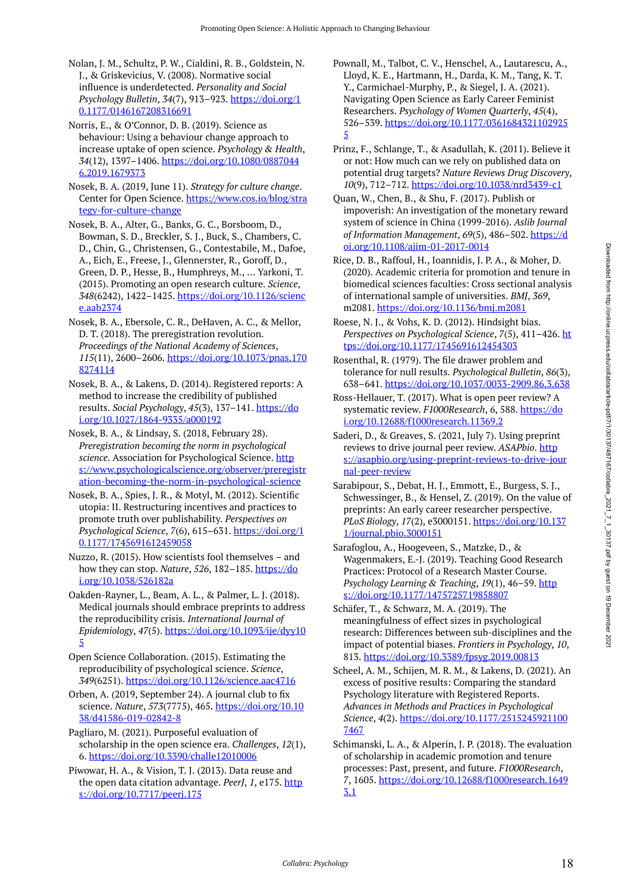Nolan, J. M., Schultz, P. W., Cialdini, R. B., Goldstein, N. J., & Griskevicius, V. (2008). Normative social influence is underdetected. *Personality and Social Psychology Bulletin*, *34*(7), 913–923. [https://doi.org/1](https://doi.org/10.1177/0146167208316691) [0.1177/0146167208316691](https://doi.org/10.1177/0146167208316691) 

Norris, E., & O'Connor, D. B. (2019). Science as behaviour: Using a behaviour change approach to increase uptake of open science. *Psychology & Health*, *34*(12), 1397–1406. [https://doi.org/10.1080/0887044](https://doi.org/10.1080/08870446.2019.1679373) [6.2019.1679373](https://doi.org/10.1080/08870446.2019.1679373)

Nosek, B. A. (2019, June 11). *Strategy for culture change*. Center for Open Science. [https://www.cos.io/blog/stra](https://www.cos.io/blog/strategy-for-culture-change) [tegy-for-culture-change](https://www.cos.io/blog/strategy-for-culture-change)

Nosek, B. A., Alter, G., Banks, G. C., Borsboom, D., Bowman, S. D., Breckler, S. J., Buck, S., Chambers, C. D., Chin, G., Christensen, G., Contestabile, M., Dafoe, A., Eich, E., Freese, J., Glennerster, R., Goroff, D., Green, D. P., Hesse, B., Humphreys, M., … Yarkoni, T. (2015). Promoting an open research culture. *Science*, *348*(6242), 1422–1425. [https://doi.org/10.1126/scienc](https://doi.org/10.1126/science.aab2374) [e.aab2374](https://doi.org/10.1126/science.aab2374) 

Nosek, B. A., Ebersole, C. R., DeHaven, A. C., & Mellor, D. T. (2018). The preregistration revolution. *Proceedings of the National Academy of Sciences*, *115*(11), 2600–2606. [https://doi.org/10.1073/pnas.170](https://doi.org/10.1073/pnas.1708274114) [8274114](https://doi.org/10.1073/pnas.1708274114)

Nosek, B. A., & Lakens, D. (2014). Registered reports: A method to increase the credibility of published results. *Social Psychology*, *45*(3), 137–141. [https://do](https://doi.org/10.1027/1864-9335/a000192) [i.org/10.1027/1864-9335/a000192](https://doi.org/10.1027/1864-9335/a000192)

Nosek, B. A., & Lindsay, S. (2018, February 28). *Preregistration becoming the norm in psychological science*. Association for Psychological Science. [http](https://www.psychologicalscience.org/observer/preregistration-becoming-the-norm-in-psychological-science) [s://www.psychologicalscience.org/observer/preregistr](https://www.psychologicalscience.org/observer/preregistration-becoming-the-norm-in-psychological-science) [ation-becoming-the-norm-in-psychological-science](https://www.psychologicalscience.org/observer/preregistration-becoming-the-norm-in-psychological-science) 

Nosek, B. A., Spies, J. R., & Motyl, M. (2012). Scientific utopia: II. Restructuring incentives and practices to promote truth over publishability. *Perspectives on Psychological Science*, *7*(6), 615–631. [https://doi.org/1](https://doi.org/10.1177/1745691612459058) [0.1177/1745691612459058](https://doi.org/10.1177/1745691612459058) 

Nuzzo, R. (2015). How scientists fool themselves – and how they can stop. *Nature*, *526*, 182–185. [https://do](https://doi.org/10.1038/526182a) [i.org/10.1038/526182a](https://doi.org/10.1038/526182a) 

Oakden-Rayner, L., Beam, A. L., & Palmer, L. J. (2018). Medical journals should embrace preprints to address the reproducibility crisis. *International Journal of Epidemiology*, *47*(5). [https://doi.org/10.1093/ije/dyy10](https://doi.org/10.1093/ije/dyy105) [5](https://doi.org/10.1093/ije/dyy105)

Open Science Collaboration. (2015). Estimating the reproducibility of psychological science. *Science*, *349*(6251). <https://doi.org/10.1126/science.aac4716>

Orben, A. (2019, September 24). A journal club to fix science. *Nature*, *573*(7775), 465. [https://doi.org/10.10](https://doi.org/10.1038/d41586-019-02842-8) [38/d41586-019-02842-8](https://doi.org/10.1038/d41586-019-02842-8) 

Pagliaro, M. (2021). Purposeful evaluation of scholarship in the open science era. *Challenges*, *12*(1), 6.<https://doi.org/10.3390/challe12010006>

Piwowar, H. A., & Vision, T. J. (2013). Data reuse and the open data citation advantage. *PeerJ*, *1*, e175. [http](https://doi.org/10.7717/peerj.175) [s://doi.org/10.7717/peerj.175](https://doi.org/10.7717/peerj.175) 

Pownall, M., Talbot, C. V., Henschel, A., Lautarescu, A., Lloyd, K. E., Hartmann, H., Darda, K. M., Tang, K. T. Y., Carmichael-Murphy, P., & Siegel, J. A. (2021). Navigating Open Science as Early Career Feminist Researchers. *Psychology of Women Quarterly*, *45*(4), 526–539. [https://doi.org/10.1177/0361684321102925](https://doi.org/10.1177/03616843211029255) [5](https://doi.org/10.1177/03616843211029255) 

Prinz, F., Schlange, T., & Asadullah, K. (2011). Believe it or not: How much can we rely on published data on potential drug targets? *Nature Reviews Drug Discovery*, *10*(9), 712–712.<https://doi.org/10.1038/nrd3439-c1>

Quan, W., Chen, B., & Shu, F. (2017). Publish or impoverish: An investigation of the monetary reward system of science in China (1999-2016). *Aslib Journal of Information Management*, *69*(5), 486–502. [https://d](https://doi.org/10.1108/ajim-01-2017-0014) [oi.org/10.1108/ajim-01-2017-0014](https://doi.org/10.1108/ajim-01-2017-0014) 

Rice, D. B., Raffoul, H., Ioannidis, J. P. A., & Moher, D. (2020). Academic criteria for promotion and tenure in biomedical sciences faculties: Cross sectional analysis of international sample of universities. *BMJ*, *369*, m2081. <https://doi.org/10.1136/bmj.m2081>

Roese, N. J., & Vohs, K. D. (2012). Hindsight bias. *Perspectives on Psychological Science*, *7*(5), 411–426. [ht](https://doi.org/10.1177/1745691612454303) [tps://doi.org/10.1177/1745691612454303](https://doi.org/10.1177/1745691612454303)

Rosenthal, R. (1979). The file drawer problem and tolerance for null results. *Psychological Bulletin*, *86*(3), 638–641.<https://doi.org/10.1037/0033-2909.86.3.638>

Ross-Hellauer, T. (2017). What is open peer review? A systematic review. *F1000Research*, 6, 588. [https://do](https://doi.org/10.12688/f1000research.11369.2) [i.org/10.12688/f1000research.11369.2](https://doi.org/10.12688/f1000research.11369.2) 

Saderi, D., & Greaves, S. (2021, July 7). Using preprint reviews to drive journal peer review. ASAPbio. [http](https://asapbio.org/using-preprint-reviews-to-drive-journal-peer-review) [s://asapbio.org/using-preprint-reviews-to-drive-jour](https://asapbio.org/using-preprint-reviews-to-drive-journal-peer-review) [nal-peer-review](https://asapbio.org/using-preprint-reviews-to-drive-journal-peer-review) 

Sarabipour, S., Debat, H. J., Emmott, E., Burgess, S. J., Schwessinger, B., & Hensel, Z. (2019). On the value of preprints: An early career researcher perspective. *PLoS Biology*, *17*(2), e3000151. [https://doi.org/10.137](https://doi.org/10.1371/journal.pbio.3000151) [1/journal.pbio.3000151](https://doi.org/10.1371/journal.pbio.3000151)

Sarafoglou, A., Hoogeveen, S., Matzke, D., & Wagenmakers, E.-J. (2019). Teaching Good Research Practices: Protocol of a Research Master Course. *Psychology Learning & Teaching*, *19*(1), 46–59. [http](https://doi.org/10.1177/1475725719858807) [s://doi.org/10.1177/1475725719858807](https://doi.org/10.1177/1475725719858807) 

Schäfer, T., & Schwarz, M. A. (2019). The meaningfulness of effect sizes in psychological research: Differences between sub-disciplines and the impact of potential biases. *Frontiers in Psychology*, *10*, 813.<https://doi.org/10.3389/fpsyg.2019.00813>

Scheel, A. M., Schijen, M. R. M., & Lakens, D. (2021). An excess of positive results: Comparing the standard Psychology literature with Registered Reports. *Advances in Methods and Practices in Psychological Science*, *4*(2). [https://doi.org/10.1177/2515245921100](https://doi.org/10.1177/25152459211007467) [7467](https://doi.org/10.1177/25152459211007467)

Schimanski, L. A., & Alperin, J. P. (2018). The evaluation of scholarship in academic promotion and tenure processes: Past, present, and future. *F1000Research*, *7*, 1605. [https://doi.org/10.12688/f1000research.1649](https://doi.org/10.12688/f1000research.16493.1) [3.1](https://doi.org/10.12688/f1000research.16493.1)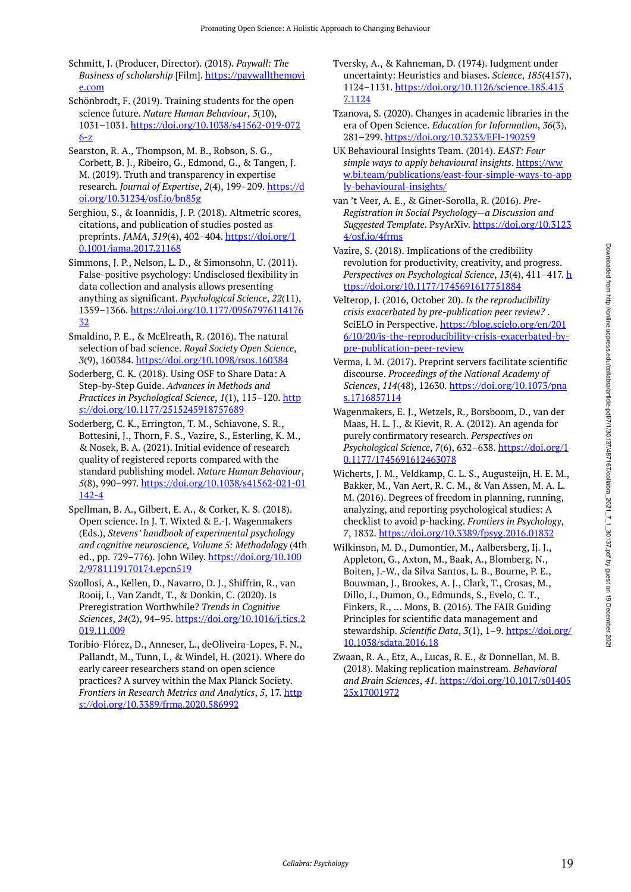Schmitt, J. (Producer, Director). (2018). *Paywall: The Business of scholarship* [Film]. [https://paywallthemovi](https://paywallthemovie.com/) [e.com](https://paywallthemovie.com/)

Schönbrodt, F. (2019). Training students for the open science future. *Nature Human Behaviour*, *3*(10), 1031–1031. [https://doi.org/10.1038/s41562-019-072](https://doi.org/10.1038/s41562-019-0726-z) [6-z](https://doi.org/10.1038/s41562-019-0726-z)

Searston, R. A., Thompson, M. B., Robson, S. G., Corbett, B. J., Ribeiro, G., Edmond, G., & Tangen, J. M. (2019). Truth and transparency in expertise research. *Journal of Expertise*, *2*(4), 199–209. [https://d](https://doi.org/10.31234/osf.io/bn85g) [oi.org/10.31234/osf.io/bn85g](https://doi.org/10.31234/osf.io/bn85g) 

Serghiou, S., & Ioannidis, J. P. (2018). Altmetric scores, citations, and publication of studies posted as preprints. *JAMA*, *319*(4), 402–404. [https://doi.org/1](https://doi.org/10.1001/jama.2017.21168) [0.1001/jama.2017.21168](https://doi.org/10.1001/jama.2017.21168) 

Simmons, J. P., Nelson, L. D., & Simonsohn, U. (2011). False-positive psychology: Undisclosed flexibility in data collection and analysis allows presenting anything as significant. *Psychological Science*, *22*(11), 1359–1366. [https://doi.org/10.1177/09567976114176](https://doi.org/10.1177/0956797611417632) [32](https://doi.org/10.1177/0956797611417632)

Smaldino, P. E., & McElreath, R. (2016). The natural selection of bad science. *Royal Society Open Science*, *3*(9), 160384.<https://doi.org/10.1098/rsos.160384>

Soderberg, C. K. (2018). Using OSF to Share Data: A Step-by-Step Guide. *Advances in Methods and Practices in Psychological Science*, *1*(1), 115–120. [http](https://doi.org/10.1177/2515245918757689) [s://doi.org/10.1177/2515245918757689](https://doi.org/10.1177/2515245918757689)

Soderberg, C. K., Errington, T. M., Schiavone, S. R., Bottesini, J., Thorn, F. S., Vazire, S., Esterling, K. M., & Nosek, B. A. (2021). Initial evidence of research quality of registered reports compared with the standard publishing model. *Nature Human Behaviour*, *5*(8), 990–997. [https://doi.org/10.1038/s41562-021-01](https://doi.org/10.1038/s41562-021-01142-4) [142-4](https://doi.org/10.1038/s41562-021-01142-4) 

Spellman, B. A., Gilbert, E. A., & Corker, K. S. (2018). Open science. In J. T. Wixted & E.-J. Wagenmakers (Eds.), *Stevens' handbook of experimental psychology and cognitive neuroscience, Volume 5: Methodology* (4th ed., pp. 729–776). John Wiley. [https://doi.org/10.100](https://doi.org/10.1002/9781119170174.epcn519) [2/9781119170174.epcn519](https://doi.org/10.1002/9781119170174.epcn519) 

Szollosi, A., Kellen, D., Navarro, D. J., Shiffrin, R., van Rooij, I., Van Zandt, T., & Donkin, C. (2020). Is Preregistration Worthwhile? *Trends in Cognitive Sciences*, *24*(2), 94–95. [https://doi.org/10.1016/j.tics.2](https://doi.org/10.1016/j.tics.2019.11.009) [019.11.009](https://doi.org/10.1016/j.tics.2019.11.009) 

Toribio-Flórez, D., Anneser, L., deOliveira-Lopes, F. N., Pallandt, M., Tunn, I., & Windel, H. (2021). Where do early career researchers stand on open science practices? A survey within the Max Planck Society. *Frontiers in Research Metrics and Analytics*, *5*, 17. [http](https://doi.org/10.3389/frma.2020.586992) [s://doi.org/10.3389/frma.2020.586992](https://doi.org/10.3389/frma.2020.586992)

- Tversky, A., & Kahneman, D. (1974). Judgment under uncertainty: Heuristics and biases. *Science*, *185*(4157), 1124–1131. [https://doi.org/10.1126/science.185.415](https://doi.org/10.1126/science.185.4157.1124) [7.1124](https://doi.org/10.1126/science.185.4157.1124)
- Tzanova, S. (2020). Changes in academic libraries in the era of Open Science. *Education for Information*, *36*(3), 281–299.<https://doi.org/10.3233/EFI-190259>
- UK Behavioural Insights Team. (2014). *EAST: Four simple ways to apply behavioural insights*. [https://ww](https://www.bi.team/publications/east-four-simple-ways-to-apply-behavioural-insights/) [w.bi.team/publications/east-four-simple-ways-to-app](https://www.bi.team/publications/east-four-simple-ways-to-apply-behavioural-insights/) [ly-behavioural-insights/](https://www.bi.team/publications/east-four-simple-ways-to-apply-behavioural-insights/)
- van 't Veer, A. E., & Giner-Sorolla, R. (2016). *Pre-Registration in Social Psychology—a Discussion and Suggested Template*. PsyArXiv. [https://doi.org/10.3123](https://doi.org/10.31234/osf.io/4frms) [4/osf.io/4frms](https://doi.org/10.31234/osf.io/4frms)
- Vazire, S. (2018). Implications of the credibility revolution for productivity, creativity, and progress. *Perspectives on Psychological Science*, *13*(4), 411–417. [h](https://doi.org/10.1177/1745691617751884) [ttps://doi.org/10.1177/1745691617751884](https://doi.org/10.1177/1745691617751884)
- Velterop, J. (2016, October 20). *Is the reproducibility crisis exacerbated by pre-publication peer review?* . SciELO in Perspective. [https://blog.scielo.org/en/201](https://blog.scielo.org/en/2016/10/20/is-the-reproducibility-crisis-exacerbated-by-pre-publication-peer-review) [6/10/20/is-the-reproducibility-crisis-exacerbated-by](https://blog.scielo.org/en/2016/10/20/is-the-reproducibility-crisis-exacerbated-by-pre-publication-peer-review)[pre-publication-peer-review](https://blog.scielo.org/en/2016/10/20/is-the-reproducibility-crisis-exacerbated-by-pre-publication-peer-review)
- Verma, I. M. (2017). Preprint servers facilitate scientific discourse. *Proceedings of the National Academy of Sciences*, *114*(48), 12630. [https://doi.org/10.1073/pna](https://doi.org/10.1073/pnas.1716857114) [s.1716857114](https://doi.org/10.1073/pnas.1716857114)
- Wagenmakers, E. J., Wetzels, R., Borsboom, D., van der Maas, H. L. J., & Kievit, R. A. (2012). An agenda for purely confirmatory research. *Perspectives on Psychological Science*, *7*(6), 632–638. [https://doi.org/1](https://doi.org/10.1177/1745691612463078) [0.1177/1745691612463078](https://doi.org/10.1177/1745691612463078)
- Wicherts, J. M., Veldkamp, C. L. S., Augusteijn, H. E. M., Bakker, M., Van Aert, R. C. M., & Van Assen, M. A. L. M. (2016). Degrees of freedom in planning, running, analyzing, and reporting psychological studies: A checklist to avoid p-hacking. *Frontiers in Psychology*, *7*, 1832. <https://doi.org/10.3389/fpsyg.2016.01832>
- Wilkinson, M. D., Dumontier, M., Aalbersberg, Ij. J., Appleton, G., Axton, M., Baak, A., Blomberg, N., Boiten, J.-W., da Silva Santos, L. B., Bourne, P. E., Bouwman, J., Brookes, A. J., Clark, T., Crosas, M., Dillo, I., Dumon, O., Edmunds, S., Evelo, C. T., Finkers, R., … Mons, B. (2016). The FAIR Guiding Principles for scientific data management and stewardship. *Scientific Data*, *3*(1), 1–9. [https://doi.org/](https://doi.org/10.1038/sdata.2016.18) [10.1038/sdata.2016.18](https://doi.org/10.1038/sdata.2016.18)
- Zwaan, R. A., Etz, A., Lucas, R. E., & Donnellan, M. B. (2018). Making replication mainstream. *Behavioral and Brain Sciences*, *41*. [https://doi.org/10.1017/s01405](https://doi.org/10.1017/s0140525x17001972) [25x17001972](https://doi.org/10.1017/s0140525x17001972)